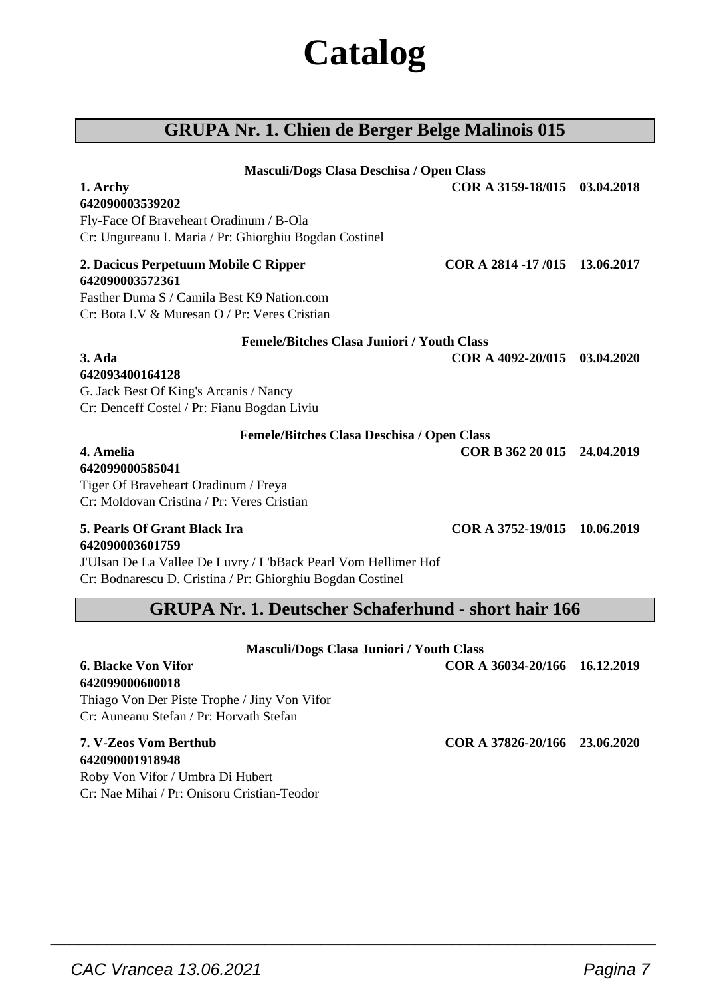# **Catalog**

### **GRUPA Nr. 1. Chien de Berger Belge Malinois 015**

| Masculi/Dogs Clasa Deschisa / Open Class                       |                               |            |
|----------------------------------------------------------------|-------------------------------|------------|
| 1. Archy                                                       | COR A 3159-18/015             | 03.04.2018 |
| 642090003539202                                                |                               |            |
| Fly-Face Of Braveheart Oradinum / B-Ola                        |                               |            |
| Cr: Ungureanu I. Maria / Pr: Ghiorghiu Bogdan Costinel         |                               |            |
| 2. Dacicus Perpetuum Mobile C Ripper                           | COR A 2814 -17/015 13.06.2017 |            |
| 642090003572361                                                |                               |            |
| Fasther Duma S / Camila Best K9 Nation.com                     |                               |            |
| Cr: Bota I.V & Muresan O / Pr: Veres Cristian                  |                               |            |
| <b>Femele/Bitches Clasa Juniori / Youth Class</b>              |                               |            |
| 3. Ada                                                         | COR A 4092-20/015 03.04.2020  |            |
| 642093400164128                                                |                               |            |
| G. Jack Best Of King's Arcanis / Nancy                         |                               |            |
| Cr: Denceff Costel / Pr: Fianu Bogdan Liviu                    |                               |            |
| Femele/Bitches Clasa Deschisa / Open Class                     |                               |            |
| 4. Amelia                                                      | COR B 362 20 015 24.04.2019   |            |
| 642099000585041                                                |                               |            |
| Tiger Of Braveheart Oradinum / Freya                           |                               |            |
| Cr: Moldovan Cristina / Pr: Veres Cristian                     |                               |            |
| <b>5. Pearls Of Grant Black Ira</b>                            | COR A 3752-19/015 10.06.2019  |            |
| 642090003601759                                                |                               |            |
| J'Ulsan De La Vallee De Luvry / L'bBack Pearl Vom Hellimer Hof |                               |            |
| Cr: Bodnarescu D. Cristina / Pr: Ghiorghiu Bogdan Costinel     |                               |            |
| <b>GRUPA Nr. 1. Deutscher Schaferhund - short hair 166</b>     |                               |            |
|                                                                |                               |            |

| <b>Masculi/Dogs Clasa Juniori / Youth Class</b> |                               |  |
|-------------------------------------------------|-------------------------------|--|
| <b>6. Blacke Von Vifor</b>                      | COR A 36034-20/166 16.12.2019 |  |
| 642099000600018                                 |                               |  |
| Thiago Von Der Piste Trophe / Jiny Von Vifor    |                               |  |
| Cr: Auneanu Stefan / Pr: Horvath Stefan         |                               |  |
| 7. V-Zeos Vom Berthub                           | COR A 37826-20/166 23.06.2020 |  |
| 642090001918948                                 |                               |  |
| <b>Doby Von Vifor / Umbro Di Hubort</b>         |                               |  |

 $\overline{\phantom{a}}$  , and the set of the set of the set of the set of the set of the set of the set of the set of the set of the set of the set of the set of the set of the set of the set of the set of the set of the set of the s

Roby Von Vifor / Umbra Di Hubert Cr: Nae Mihai / Pr: Onisoru Cristian-Teodor

 $\overline{\phantom{a}}$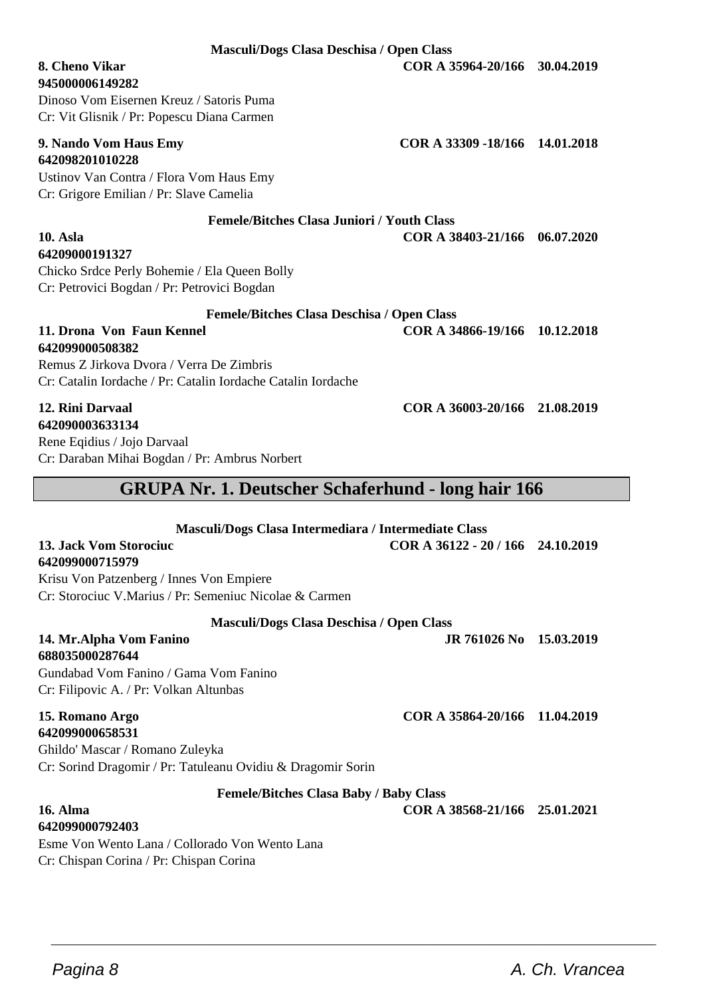**Masculi/Dogs Clasa Deschisa / Open Class**

**8. Cheno Vikar COR A 35964-20/166 30.04.2019**

**945000006149282** Dinoso Vom Eisernen Kreuz / Satoris Puma Cr: Vit Glisnik / Pr: Popescu Diana Carmen

#### **9. Nando Vom Haus Emy COR A 33309 -18/166 14.01.2018 642098201010228**

Ustinov Van Contra / Flora Vom Haus Emy Cr: Grigore Emilian / Pr: Slave Camelia

Chicko Srdce Perly Bohemie / Ela Queen Bolly Cr: Petrovici Bogdan / Pr: Petrovici Bogdan

**Femele/Bitches Clasa Juniori / Youth Class**

**10. Asla COR A 38403-21/166 06.07.2020**

#### **Femele/Bitches Clasa Deschisa / Open Class 11. Drona Von Faun Kennel COR A 34866-19/166 10.12.2018**

**642099000508382** Remus Z Jirkova Dvora / Verra De Zimbris Cr: Catalin Iordache / Pr: Catalin Iordache Catalin Iordache

### **12. Rini Darvaal COR A 36003-20/166 21.08.2019**

**642099000715979**

**688035000287644**

**642099000658531**

**64209000191327**

**642090003633134** Rene Eqidius / Jojo Darvaal Cr: Daraban Mihai Bogdan / Pr: Ambrus Norbert

### **GRUPA Nr. 1. Deutscher Schaferhund - long hair 166**

**Masculi/Dogs Clasa Intermediara / Intermediate Class**

**13. Jack Vom Storociuc COR A 36122 - 20 / 166 24.10.2019**

Krisu Von Patzenberg / Innes Von Empiere Cr: Storociuc V.Marius / Pr: Semeniuc Nicolae & Carmen

#### **Masculi/Dogs Clasa Deschisa / Open Class**

**14. Mr.Alpha Vom Fanino JR 761026 No 15.03.2019**

**15. Romano Argo COR A 35864-20/166 11.04.2019**

Ghildo' Mascar / Romano Zuleyka Cr: Sorind Dragomir / Pr: Tatuleanu Ovidiu & Dragomir Sorin

#### **Femele/Bitches Clasa Baby / Baby Class**

 $\overline{\phantom{a}}$  , and the set of the set of the set of the set of the set of the set of the set of the set of the set of the set of the set of the set of the set of the set of the set of the set of the set of the set of the s

**16. Alma COR A 38568-21/166 25.01.2021**

#### **642099000792403** Esme Von Wento Lana / Collorado Von Wento Lana Cr: Chispan Corina / Pr: Chispan Corina

Gundabad Vom Fanino / Gama Vom Fanino Cr: Filipovic A. / Pr: Volkan Altunbas

### Pagina 8 **A. Ch. Vrancea**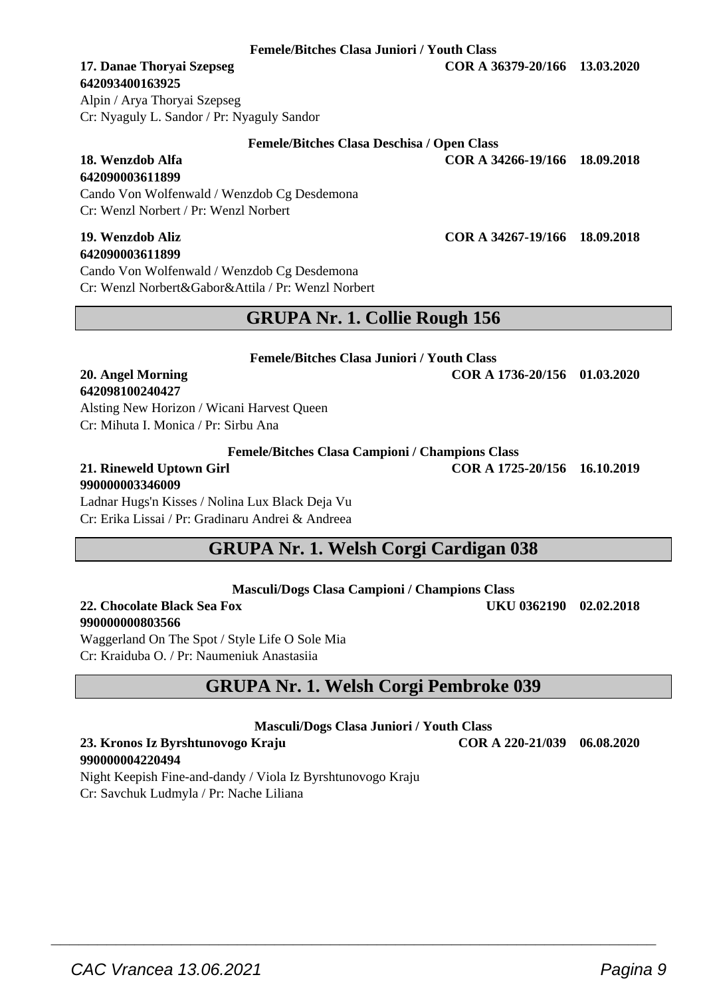### **642093400163925**

**642090003611899**

Alpin / Arya Thoryai Szepseg Cr: Nyaguly L. Sandor / Pr: Nyaguly Sandor

Cr: Wenzl Norbert / Pr: Wenzl Norbert

| 19. Wenzdob Aliz                                   | COR A 34267-19/166 18.09.2018 |  |
|----------------------------------------------------|-------------------------------|--|
| 642090003611899                                    |                               |  |
| Cando Von Wolfenwald / Wenzdob Cg Desdemona        |                               |  |
| Cr: Wenzl Norbert&Gabor&Attila / Pr: Wenzl Norbert |                               |  |
|                                                    |                               |  |

Cando Von Wolfenwald / Wenzdob Cg Desdemona

### **GRUPA Nr. 1. Collie Rough 156**

**Femele/Bitches Clasa Juniori / Youth Class 20. Angel Morning COR A 1736-20/156 01.03.2020**

**642098100240427** Alsting New Horizon / Wicani Harvest Queen

Cr: Mihuta I. Monica / Pr: Sirbu Ana

**Femele/Bitches Clasa Campioni / Champions Class**

# **990000003346009**

Ladnar Hugs'n Kisses / Nolina Lux Black Deja Vu Cr: Erika Lissai / Pr: Gradinaru Andrei & Andreea

### **GRUPA Nr. 1. Welsh Corgi Cardigan 038**

**Masculi/Dogs Clasa Campioni / Champions Class**

**22. Chocolate Black Sea Fox UKU 0362190 02.02.2018 990000000803566**

Waggerland On The Spot / Style Life O Sole Mia Cr: Kraiduba O. / Pr: Naumeniuk Anastasiia

### **GRUPA Nr. 1. Welsh Corgi Pembroke 039**

**Masculi/Dogs Clasa Juniori / Youth Class**

**23. Kronos Iz Byrshtunovogo Kraju COR A 220-21/039 06.08.2020 990000004220494**

 $\overline{\phantom{a}}$  , and the set of the set of the set of the set of the set of the set of the set of the set of the set of the set of the set of the set of the set of the set of the set of the set of the set of the set of the s

Night Keepish Fine-and-dandy / Viola Iz Byrshtunovogo Kraju Cr: Savchuk Ludmyla / Pr: Nache Liliana

**Femele/Bitches Clasa Juniori / Youth Class**

**Femele/Bitches Clasa Deschisa / Open Class 18. Wenzdob Alfa COR A 34266-19/166 18.09.2018**

**17. Danae Thoryai Szepseg COR A 36379-20/166 13.03.2020**

**21. Rineweld Uptown Girl COR A 1725-20/156 16.10.2019**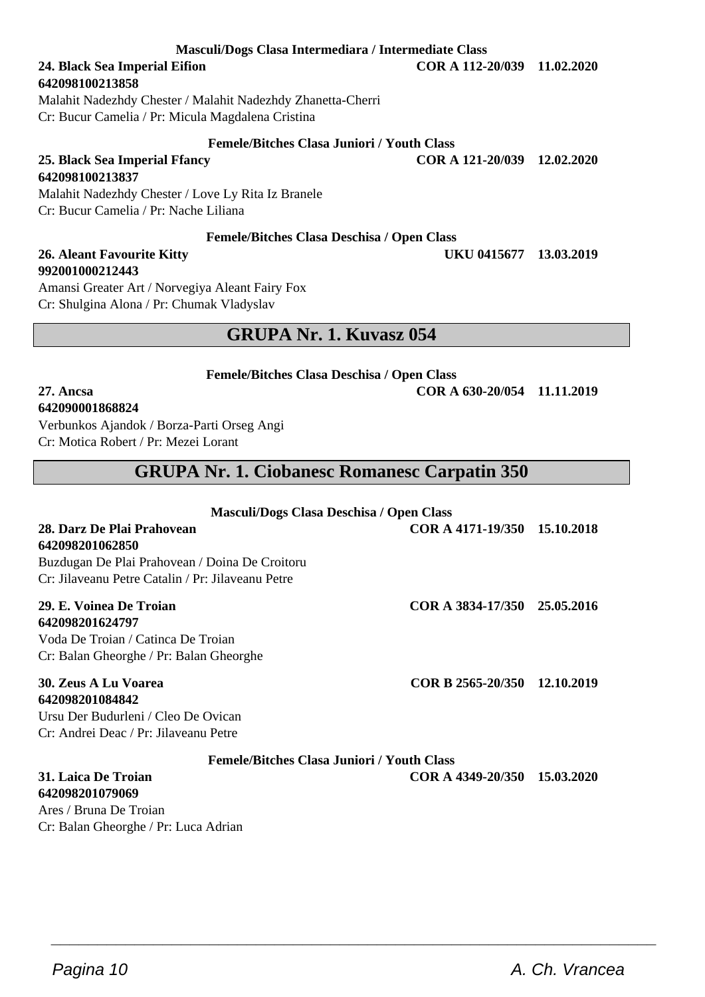Cr: Balan Gheorghe / Pr: Luca Adrian

**Masculi/Dogs Clasa Intermediara / Intermediate Class**

**642098100213858**

**642098100213837**

Malahit Nadezhdy Chester / Malahit Nadezhdy Zhanetta-Cherri Cr: Bucur Camelia / Pr: Micula Magdalena Cristina

**25. Black Sea Imperial Ffancy COR A 121-20/039 12.02.2020**

Malahit Nadezhdy Chester / Love Ly Rita Iz Branele Cr: Bucur Camelia / Pr: Nache Liliana

### **Femele/Bitches Clasa Deschisa / Open Class**

#### **26. Aleant Favourite Kitty UKU 0415677 13.03.2019 992001000212443**

Amansi Greater Art / Norvegiya Aleant Fairy Fox Cr: Shulgina Alona / Pr: Chumak Vladyslav

### **GRUPA Nr. 1. Kuvasz 054**

**Femele/Bitches Clasa Deschisa / Open Class**

**27. Ancsa COR A 630-20/054 11.11.2019**

### **642090001868824**

Verbunkos Ajandok / Borza-Parti Orseg Angi Cr: Motica Robert / Pr: Mezei Lorant

### **GRUPA Nr. 1. Ciobanesc Romanesc Carpatin 350**

| Masculi/Dogs Clasa Deschisa / Open Class          |                              |            |
|---------------------------------------------------|------------------------------|------------|
| 28. Darz De Plai Prahovean                        | COR A 4171-19/350 15.10.2018 |            |
| 642098201062850                                   |                              |            |
| Buzdugan De Plai Prahovean / Doina De Croitoru    |                              |            |
| Cr: Jilayeanu Petre Catalin / Pr: Jilayeanu Petre |                              |            |
| 29. E. Voinea De Troian                           | COR A 3834-17/350 25.05.2016 |            |
| 642098201624797                                   |                              |            |
| Voda De Troian / Catinca De Troian                |                              |            |
| Cr: Balan Gheorghe / Pr: Balan Gheorghe           |                              |            |
| 30. Zeus A Lu Voarea                              | COR B 2565-20/350            | 12.10.2019 |
| 642098201084842                                   |                              |            |
| Ursu Der Budurleni / Cleo De Ovican               |                              |            |
| Cr: Andrei Deac / Pr: Jilayeanu Petre             |                              |            |
| <b>Femele/Bitches Clasa Juniori / Youth Class</b> |                              |            |
| 31. Laica De Troian                               | COR A 4349-20/350            | 15.03.2020 |
| 642098201079069                                   |                              |            |
| Ares / Bruna De Troian                            |                              |            |

 $\overline{\phantom{a}}$  , and the set of the set of the set of the set of the set of the set of the set of the set of the set of the set of the set of the set of the set of the set of the set of the set of the set of the set of the s

**24. Black Sea Imperial Eifion COR A 112-20/039 11.02.2020**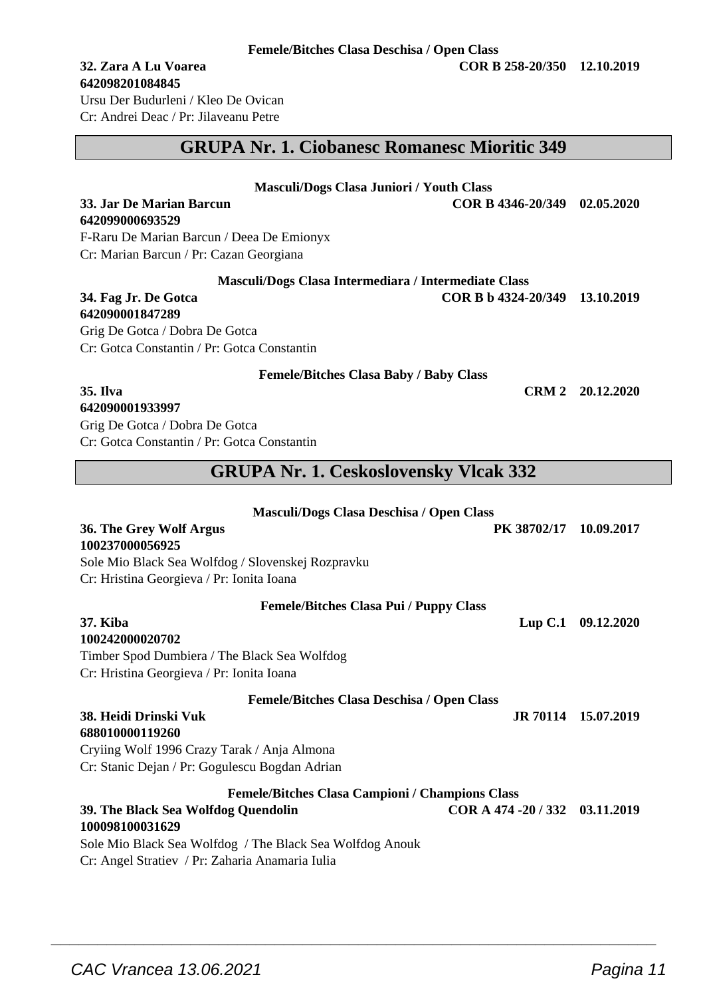#### **Femele/Bitches Clasa Deschisa / Open Class**

## **642098201084845**

Ursu Der Budurleni / Kleo De Ovican Cr: Andrei Deac / Pr: Jilaveanu Petre

### **GRUPA Nr. 1. Ciobanesc Romanesc Mioritic 349**

**33. Jar De Marian Barcun COR B 4346-20/349 02.05.2020**

### **Masculi/Dogs Clasa Juniori / Youth Class**

**642099000693529** F-Raru De Marian Barcun / Deea De Emionyx

Cr: Marian Barcun / Pr: Cazan Georgiana

**Masculi/Dogs Clasa Intermediara / Intermediate Class**

**34. Fag Jr. De Gotca COR B b 4324-20/349 13.10.2019**

**642090001847289** Grig De Gotca / Dobra De Gotca Cr: Gotca Constantin / Pr: Gotca Constantin

**Femele/Bitches Clasa Baby / Baby Class**

**35. Ilva CRM 2 20.12.2020**

### **642090001933997**

Grig De Gotca / Dobra De Gotca Cr: Gotca Constantin / Pr: Gotca Constantin

### **GRUPA Nr. 1. Ceskoslovensky Vlcak 332**

| Masculi/Dogs Clasa Deschisa / Open Class                 |                                 |                     |
|----------------------------------------------------------|---------------------------------|---------------------|
| 36. The Grey Wolf Argus                                  | PK 38702/17                     | 10.09.2017          |
| 100237000056925                                          |                                 |                     |
| Sole Mio Black Sea Wolfdog / Slovenskej Rozpravku        |                                 |                     |
| Cr: Hristina Georgieva / Pr: Ionita Ioana                |                                 |                     |
| <b>Femele/Bitches Clasa Pui / Puppy Class</b>            |                                 |                     |
| <b>37. Kiba</b>                                          | $L$ up $C.1$                    | 09.12.2020          |
| 100242000020702                                          |                                 |                     |
| Timber Spod Dumbiera / The Black Sea Wolfdog             |                                 |                     |
| Cr: Hristina Georgieva / Pr: Ionita Ioana                |                                 |                     |
| <b>Femele/Bitches Clasa Deschisa / Open Class</b>        |                                 |                     |
| 38. Heidi Drinski Vuk                                    |                                 | JR 70114 15.07.2019 |
| 688010000119260                                          |                                 |                     |
| Cryiing Wolf 1996 Crazy Tarak / Anja Almona              |                                 |                     |
| Cr: Stanic Dejan / Pr: Gogulescu Bogdan Adrian           |                                 |                     |
| <b>Femele/Bitches Clasa Campioni / Champions Class</b>   |                                 |                     |
| 39. The Black Sea Wolfdog Quendolin                      | COR A 474 - 20 / 332 03.11.2019 |                     |
| 100098100031629                                          |                                 |                     |
| Sole Mio Black Sea Wolfdog / The Black Sea Wolfdog Anouk |                                 |                     |
| Cr: Angel Stratiev / Pr: Zaharia Anamaria Iulia          |                                 |                     |

 $\overline{\phantom{a}}$  , and the set of the set of the set of the set of the set of the set of the set of the set of the set of the set of the set of the set of the set of the set of the set of the set of the set of the set of the s

**32. Zara A Lu Voarea COR B 258-20/350 12.10.2019**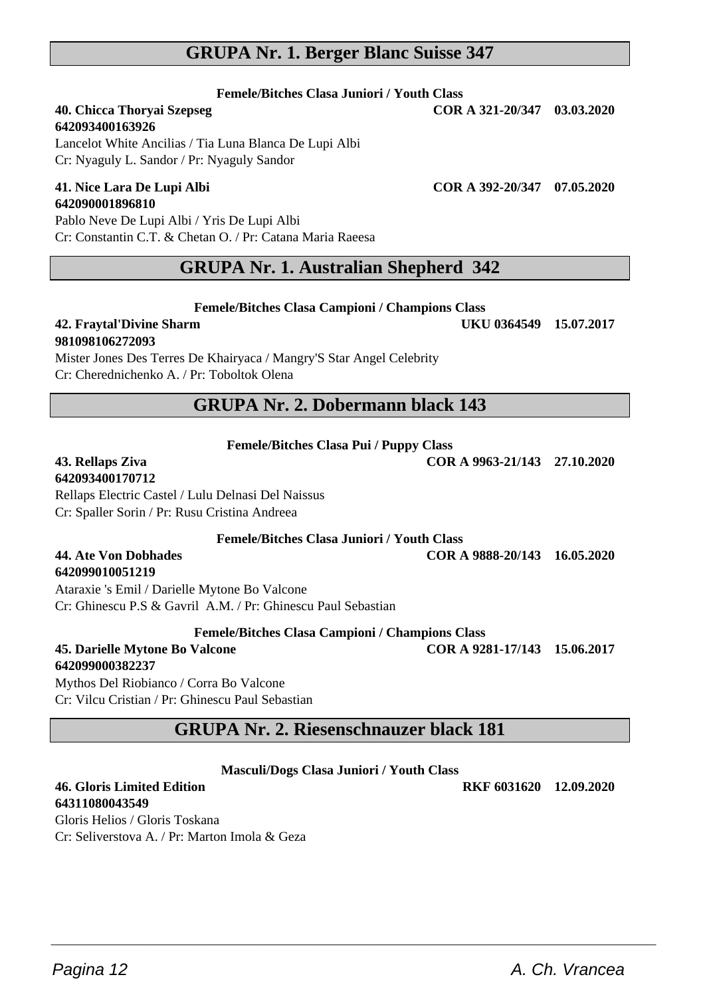### **GRUPA Nr. 1. Berger Blanc Suisse 347**

#### **Femele/Bitches Clasa Juniori / Youth Class**

**642093400163926** Lancelot White Ancilias / Tia Luna Blanca De Lupi Albi Cr: Nyaguly L. Sandor / Pr: Nyaguly Sandor

## **642090001896810**

Pablo Neve De Lupi Albi / Yris De Lupi Albi Cr: Constantin C.T. & Chetan O. / Pr: Catana Maria Raeesa

### **GRUPA Nr. 1. Australian Shepherd 342**

**Femele/Bitches Clasa Campioni / Champions Class**

#### **42. Fraytal'Divine Sharm UKU 0364549 15.07.2017 981098106272093**

Mister Jones Des Terres De Khairyaca / Mangry'S Star Angel Celebrity Cr: Cherednichenko A. / Pr: Toboltok Olena

### **GRUPA Nr. 2. Dobermann black 143**

#### **Femele/Bitches Clasa Pui / Puppy Class**

## **642093400170712**

**642099010051219**

Rellaps Electric Castel / Lulu Delnasi Del Naissus Cr: Spaller Sorin / Pr: Rusu Cristina Andreea

**Femele/Bitches Clasa Juniori / Youth Class**

#### **44. Ate Von Dobhades COR A 9888-20/143 16.05.2020**

Ataraxie 's Emil / Darielle Mytone Bo Valcone Cr: Ghinescu P.S & Gavril A.M. / Pr: Ghinescu Paul Sebastian

**Femele/Bitches Clasa Campioni / Champions Class**

**45. Darielle Mytone Bo Valcone COR A 9281-17/143 15.06.2017**

**642099000382237** Mythos Del Riobianco / Corra Bo Valcone Cr: Vilcu Cristian / Pr: Ghinescu Paul Sebastian

### **GRUPA Nr. 2. Riesenschnauzer black 181**

**Masculi/Dogs Clasa Juniori / Youth Class**

 $\overline{\phantom{a}}$  , and the set of the set of the set of the set of the set of the set of the set of the set of the set of the set of the set of the set of the set of the set of the set of the set of the set of the set of the s

**46. Gloris Limited Edition RKF 6031620 12.09.2020 64311080043549**

Gloris Helios / Gloris Toskana Cr: Seliverstova A. / Pr: Marton Imola & Geza

Pagina 12 **A. Ch. Vrancea** 

**43. Rellaps Ziva COR A 9963-21/143 27.10.2020**

**41. Nice Lara De Lupi Albi COR A 392-20/347 07.05.2020**

**40. Chicca Thoryai Szepseg COR A 321-20/347 03.03.2020**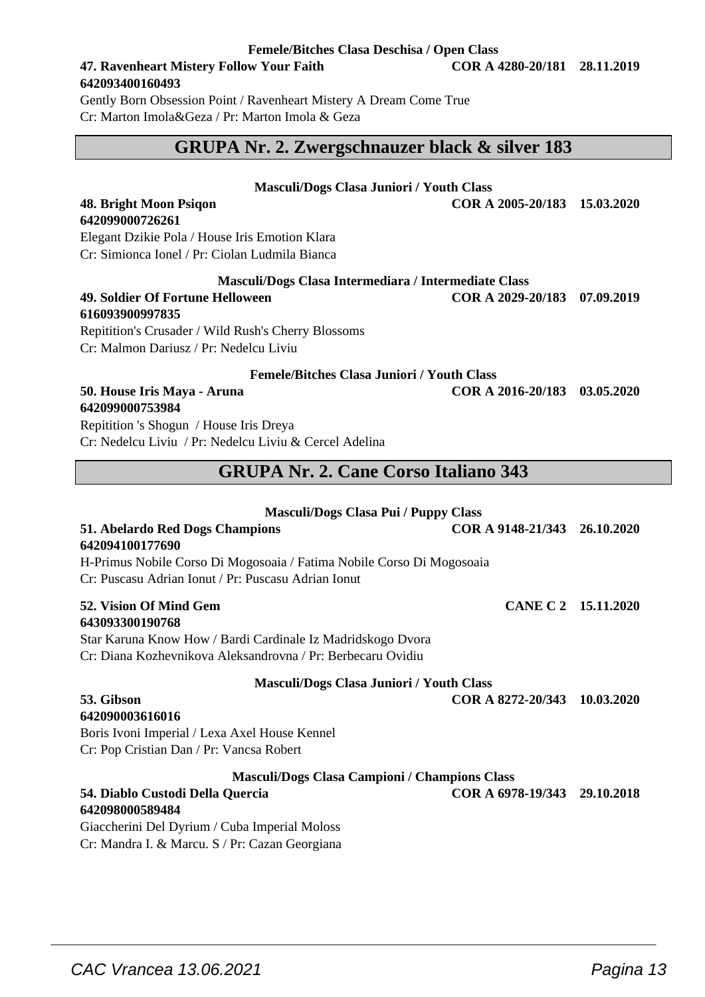#### **Femele/Bitches Clasa Deschisa / Open Class**

#### **47. Ravenheart Mistery Follow Your Faith COR A 4280-20/181 28.11.2019 642093400160493**

Gently Born Obsession Point / Ravenheart Mistery A Dream Come True Cr: Marton Imola&Geza / Pr: Marton Imola & Geza

### **GRUPA Nr. 2. Zwergschnauzer black & silver 183**

#### **Masculi/Dogs Clasa Juniori / Youth Class**

**48. Bright Moon Psiqon COR A 2005-20/183 15.03.2020**

#### Elegant Dzikie Pola / House Iris Emotion Klara Cr: Simionca Ionel / Pr: Ciolan Ludmila Bianca

#### **49. Soldier Of Fortune Helloween COR A 2029-20/183 07.09.2019 616093900997835** Repitition's Crusader / Wild Rush's Cherry Blossoms

**642099000726261**

Cr: Malmon Dariusz / Pr: Nedelcu Liviu

#### **Femele/Bitches Clasa Juniori / Youth Class**

#### **50. House Iris Maya - Aruna COR A 2016-20/183 03.05.2020 642099000753984**

Repitition 's Shogun / House Iris Dreya Cr: Nedelcu Liviu / Pr: Nedelcu Liviu & Cercel Adelina

### **GRUPA Nr. 2. Cane Corso Italiano 343**

### **Masculi/Dogs Clasa Pui / Puppy Class 51. Abelardo Red Dogs Champions COR A 9148-21/343 26.10.2020 642094100177690** H-Primus Nobile Corso Di Mogosoaia / Fatima Nobile Corso Di Mogosoaia Cr: Puscasu Adrian Ionut / Pr: Puscasu Adrian Ionut **52. Vision Of Mind Gem CANE C 2 15.11.2020 643093300190768** Star Karuna Know How / Bardi Cardinale Iz Madridskogo Dvora Cr: Diana Kozhevnikova Aleksandrovna / Pr: Berbecaru Ovidiu **Masculi/Dogs Clasa Juniori / Youth Class 53. Gibson COR A 8272-20/343 10.03.2020 642090003616016** Boris Ivoni Imperial / Lexa Axel House Kennel Cr: Pop Cristian Dan / Pr: Vancsa Robert **Masculi/Dogs Clasa Campioni / Champions Class 54. Diablo Custodi Della Quercia COR A 6978-19/343 29.10.2018 642098000589484**

 $\overline{\phantom{a}}$  , and the set of the set of the set of the set of the set of the set of the set of the set of the set of the set of the set of the set of the set of the set of the set of the set of the set of the set of the s

Giaccherini Del Dyrium / Cuba Imperial Moloss Cr: Mandra I. & Marcu. S / Pr: Cazan Georgiana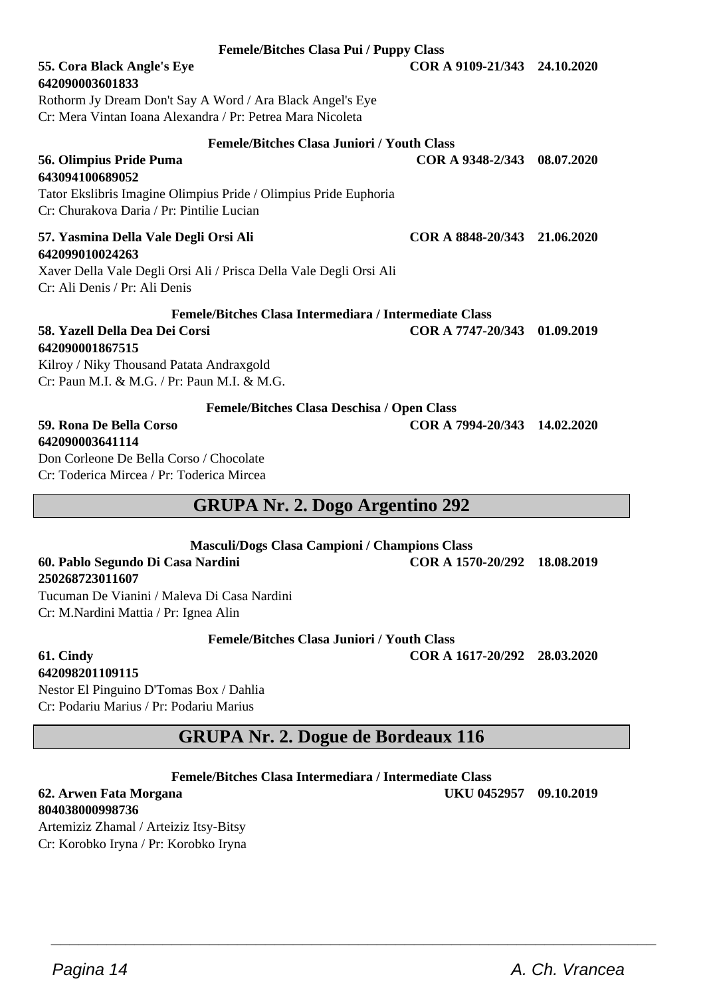**Femele/Bitches Clasa Pui / Puppy Class 55. Cora Black Angle's Eye COR A 9109-21/343 24.10.2020**

### **642090003601833**

Rothorm Jy Dream Don't Say A Word / Ara Black Angel's Eye Cr: Mera Vintan Ioana Alexandra / Pr: Petrea Mara Nicoleta

#### **Femele/Bitches Clasa Juniori / Youth Class 56. Olimpius Pride Puma COR A 9348-2/343 08.07.2020**

**643094100689052** Tator Ekslibris Imagine Olimpius Pride / Olimpius Pride Euphoria Cr: Churakova Daria / Pr: Pintilie Lucian

#### **57. Yasmina Della Vale Degli Orsi Ali COR A 8848-20/343 21.06.2020 642099010024263**

Xaver Della Vale Degli Orsi Ali / Prisca Della Vale Degli Orsi Ali Cr: Ali Denis / Pr: Ali Denis

#### **Femele/Bitches Clasa Intermediara / Intermediate Class 58. Yazell Della Dea Dei Corsi COR A 7747-20/343 01.09.2019**

**642090001867515** Kilroy / Niky Thousand Patata Andraxgold Cr: Paun M.I. & M.G. / Pr: Paun M.I. & M.G.

**Femele/Bitches Clasa Deschisa / Open Class**

## **642090003641114**

Don Corleone De Bella Corso / Chocolate Cr: Toderica Mircea / Pr: Toderica Mircea

### **GRUPA Nr. 2. Dogo Argentino 292**

**Masculi/Dogs Clasa Campioni / Champions Class**

**60. Pablo Segundo Di Casa Nardini COR A 1570-20/292 18.08.2019 250268723011607** Tucuman De Vianini / Maleva Di Casa Nardini

Cr: M.Nardini Mattia / Pr: Ignea Alin

**Femele/Bitches Clasa Juniori / Youth Class**

**61. Cindy COR A 1617-20/292 28.03.2020**

### **642098201109115**

Nestor El Pinguino D'Tomas Box / Dahlia Cr: Podariu Marius / Pr: Podariu Marius

### **GRUPA Nr. 2. Dogue de Bordeaux 116**

#### **Femele/Bitches Clasa Intermediara / Intermediate Class**

 $\overline{\phantom{a}}$  , and the set of the set of the set of the set of the set of the set of the set of the set of the set of the set of the set of the set of the set of the set of the set of the set of the set of the set of the s

**804038000998736**

Artemiziz Zhamal / Arteiziz Itsy-Bitsy Cr: Korobko Iryna / Pr: Korobko Iryna

**59. Rona De Bella Corso COR A 7994-20/343 14.02.2020**

**62. Arwen Fata Morgana UKU 0452957 09.10.2019**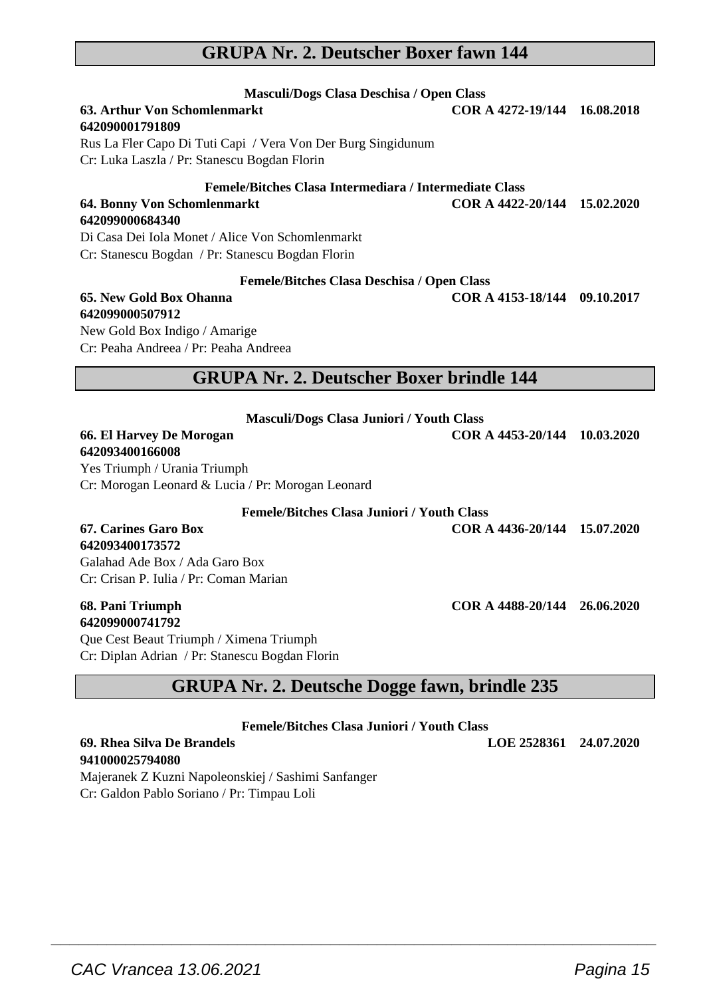### **GRUPA Nr. 2. Deutscher Boxer fawn 144**

| Masculi/Dogs Clasa Deschisa / Open Class<br>63. Arthur Von Schomlenmarkt                                     | COR A 4272-19/144 16.08.2018 |  |
|--------------------------------------------------------------------------------------------------------------|------------------------------|--|
| 642090001791809                                                                                              |                              |  |
| Rus La Fler Capo Di Tuti Capi / Vera Von Der Burg Singidunum<br>Cr: Luka Laszla / Pr: Stanescu Bogdan Florin |                              |  |
| Femele/Bitches Clasa Intermediara / Intermediate Class                                                       |                              |  |
| 64. Bonny Von Schomlenmarkt                                                                                  | COR A 4422-20/144 15.02.2020 |  |
| 642099000684340                                                                                              |                              |  |
| Di Casa Dei Iola Monet / Alice Von Schomlenmarkt                                                             |                              |  |
| Cr: Stanescu Bogdan / Pr: Stanescu Bogdan Florin                                                             |                              |  |
| <b>Femele/Bitches Clasa Deschisa / Open Class</b>                                                            |                              |  |
| 65. New Gold Box Ohanna                                                                                      | COR A 4153-18/144 09.10.2017 |  |
| 642099000507912                                                                                              |                              |  |
| New Gold Box Indigo / Amarige                                                                                |                              |  |
| Cr: Peaha Andreea / Pr: Peaha Andreea                                                                        |                              |  |
| <b>GRUPA Nr. 2. Deutscher Boxer brindle 144</b>                                                              |                              |  |
|                                                                                                              |                              |  |
| <b>Masculi/Dogs Clasa Juniori / Youth Class</b>                                                              |                              |  |
| 66. El Harvey De Morogan                                                                                     | COR A 4453-20/144 10.03.2020 |  |
| 642093400166008                                                                                              |                              |  |
| Yes Triumph / Urania Triumph                                                                                 |                              |  |
| Cr: Morogan Leonard & Lucia / Pr: Morogan Leonard                                                            |                              |  |
| <b>Femele/Bitches Clasa Juniori / Youth Class</b>                                                            |                              |  |
| 67. Carines Garo Box                                                                                         | COR A 4436-20/144 15.07.2020 |  |
| 642093400173572                                                                                              |                              |  |
| Galahad Ade Box / Ada Garo Box                                                                               |                              |  |

Cr: Crisan P. Iulia / Pr: Coman Marian

#### **68. Pani Triumph COR A 4488-20/144 26.06.2020 642099000741792**

Que Cest Beaut Triumph / Ximena Triumph Cr: Diplan Adrian / Pr: Stanescu Bogdan Florin

### **GRUPA Nr. 2. Deutsche Dogge fawn, brindle 235**

**Femele/Bitches Clasa Juniori / Youth Class**

 $\overline{\phantom{a}}$  , and the set of the set of the set of the set of the set of the set of the set of the set of the set of the set of the set of the set of the set of the set of the set of the set of the set of the set of the s

**69. Rhea Silva De Brandels LOE 2528361 24.07.2020**

**941000025794080** Majeranek Z Kuzni Napoleonskiej / Sashimi Sanfanger Cr: Galdon Pablo Soriano / Pr: Timpau Loli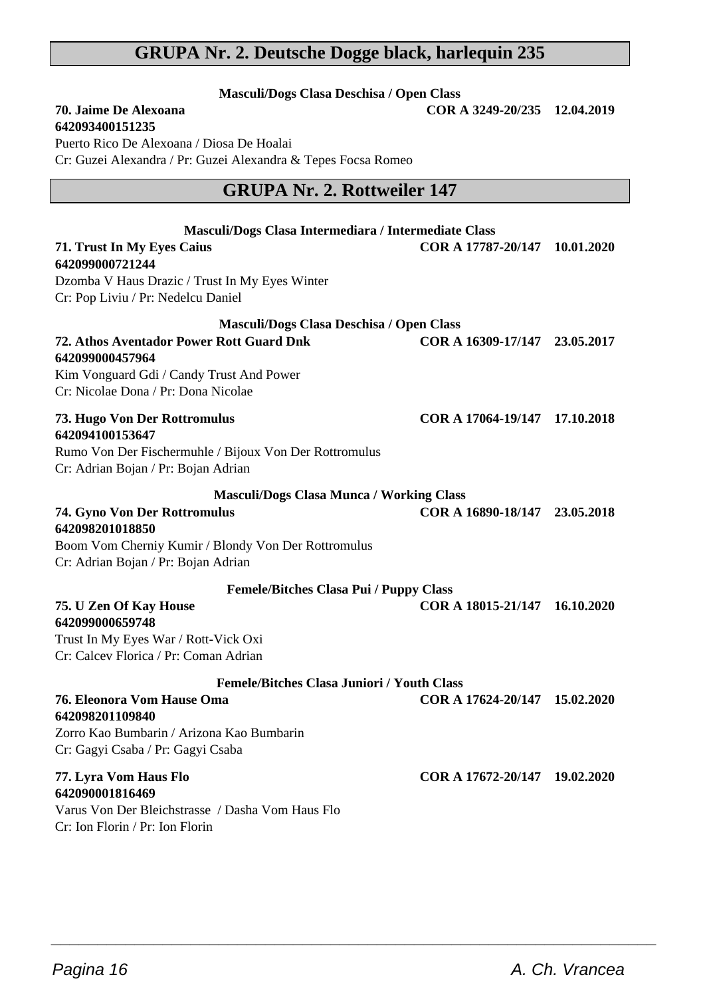### **GRUPA Nr. 2. Deutsche Dogge black, harlequin 235**

**Masculi/Dogs Clasa Deschisa / Open Class 70. Jaime De Alexoana COR A 3249-20/235 12.04.2019**

| Puerto Rico De Alexoana / Diosa De Hoalai<br>Cr: Guzei Alexandra / Pr: Guzei Alexandra & Tepes Focsa Romeo |                               |            |
|------------------------------------------------------------------------------------------------------------|-------------------------------|------------|
| <b>GRUPA Nr. 2. Rottweiler 147</b>                                                                         |                               |            |
| Masculi/Dogs Clasa Intermediara / Intermediate Class                                                       |                               |            |
| 71. Trust In My Eyes Caius<br>642099000721244                                                              | COR A 17787-20/147            | 10.01.2020 |
| Dzomba V Haus Drazic / Trust In My Eyes Winter                                                             |                               |            |
| Cr: Pop Liviu / Pr: Nedelcu Daniel                                                                         |                               |            |
| Masculi/Dogs Clasa Deschisa / Open Class                                                                   |                               |            |
| 72. Athos Aventador Power Rott Guard Dnk<br>642099000457964                                                | COR A 16309-17/147            | 23.05.2017 |
| Kim Vonguard Gdi / Candy Trust And Power<br>Cr: Nicolae Dona / Pr: Dona Nicolae                            |                               |            |
| 73. Hugo Von Der Rottromulus<br>642094100153647                                                            | COR A 17064-19/147 17.10.2018 |            |
| Rumo Von Der Fischermuhle / Bijoux Von Der Rottromulus<br>Cr: Adrian Bojan / Pr: Bojan Adrian              |                               |            |
| <b>Masculi/Dogs Clasa Munca / Working Class</b>                                                            |                               |            |
| <b>74. Gyno Von Der Rottromulus</b><br>642098201018850                                                     | COR A 16890-18/147 23.05.2018 |            |
| Boom Vom Cherniy Kumir / Blondy Von Der Rottromulus<br>Cr: Adrian Bojan / Pr: Bojan Adrian                 |                               |            |
| <b>Femele/Bitches Clasa Pui / Puppy Class</b>                                                              |                               |            |
| 75. U Zen Of Kay House<br>642099000659748                                                                  | COR A 18015-21/147            | 16.10.2020 |
| Trust In My Eyes War / Rott-Vick Oxi                                                                       |                               |            |
| Cr: Calcev Florica / Pr: Coman Adrian                                                                      |                               |            |
| <b>Femele/Bitches Clasa Juniori / Youth Class</b>                                                          |                               |            |
| 76. Eleonora Vom Hause Oma<br>642098201109840                                                              | COR A 17624-20/147 15.02.2020 |            |
| Zorro Kao Bumbarin / Arizona Kao Bumbarin<br>Cr: Gagyi Csaba / Pr: Gagyi Csaba                             |                               |            |
| 77. Lyra Vom Haus Flo<br>642090001816469                                                                   | COR A 17672-20/147 19.02.2020 |            |
| Varus Von Der Bleichstrasse / Dasha Vom Haus Flo<br>Cr: Ion Florin / Pr: Ion Florin                        |                               |            |

 $\overline{\phantom{a}}$  , and the set of the set of the set of the set of the set of the set of the set of the set of the set of the set of the set of the set of the set of the set of the set of the set of the set of the set of the s

**642093400151235**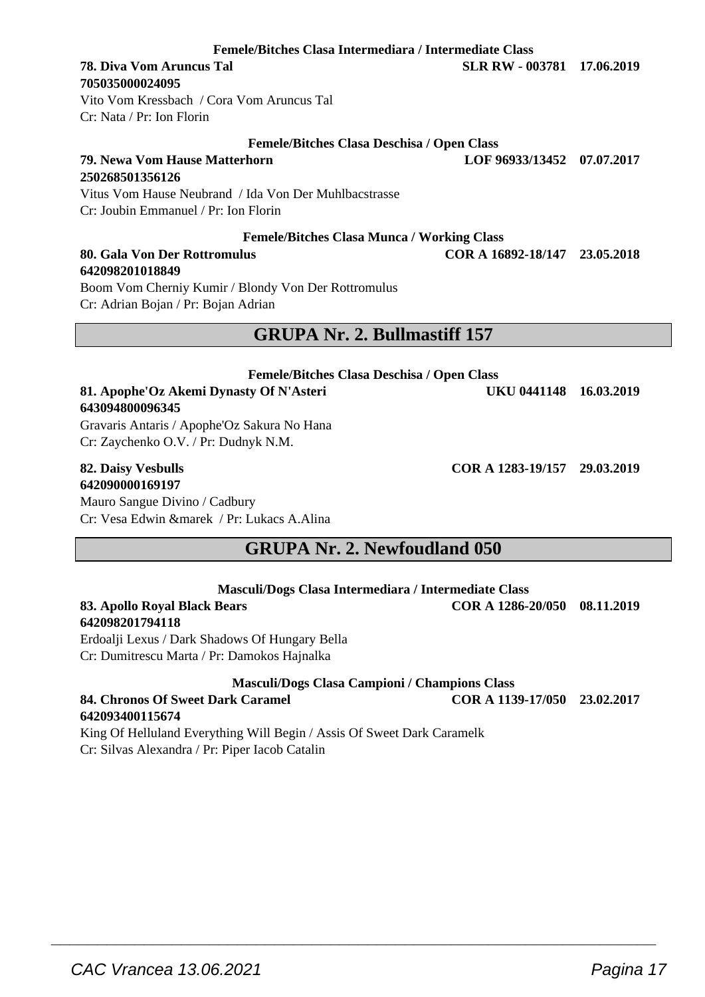**Femele/Bitches Clasa Intermediara / Intermediate Class**

#### **78. Diva Vom Aruncus Tal SLR RW - 003781 17.06.2019 705035000024095**

Vito Vom Kressbach / Cora Vom Aruncus Tal Cr: Nata / Pr: Ion Florin

#### **Femele/Bitches Clasa Deschisa / Open Class**

**79. Newa Vom Hause Matterhorn LOF 96933/13452 07.07.2017 250268501356126** Vitus Vom Hause Neubrand / Ida Von Der Muhlbacstrasse

Cr: Joubin Emmanuel / Pr: Ion Florin

#### **Femele/Bitches Clasa Munca / Working Class**

#### **80. Gala Von Der Rottromulus COR A 16892-18/147 23.05.2018 642098201018849**

Boom Vom Cherniy Kumir / Blondy Von Der Rottromulus Cr: Adrian Bojan / Pr: Bojan Adrian

### **GRUPA Nr. 2. Bullmastiff 157**

### **Femele/Bitches Clasa Deschisa / Open Class 81. Apophe'Oz Akemi Dynasty Of N'Asteri UKU 0441148 16.03.2019 643094800096345**

Gravaris Antaris / Apophe'Oz Sakura No Hana Cr: Zaychenko O.V. / Pr: Dudnyk N.M.

## **642090000169197**

Mauro Sangue Divino / Cadbury Cr: Vesa Edwin &marek / Pr: Lukacs A.Alina

### **GRUPA Nr. 2. Newfoudland 050**

| Masculi/Dogs Clasa Intermediara / Intermediate Class |                              |  |
|------------------------------------------------------|------------------------------|--|
| 83. Apollo Roval Black Bears                         | COR A 1286-20/050 08.11.2019 |  |

**642098201794118** Erdoalji Lexus / Dark Shadows Of Hungary Bella

Cr: Dumitrescu Marta / Pr: Damokos Hajnalka

#### **Masculi/Dogs Clasa Campioni / Champions Class**

**84. Chronos Of Sweet Dark Caramel COR A 1139-17/050 23.02.2017 642093400115674**

 $\overline{\phantom{a}}$  , and the set of the set of the set of the set of the set of the set of the set of the set of the set of the set of the set of the set of the set of the set of the set of the set of the set of the set of the s

King Of Helluland Everything Will Begin / Assis Of Sweet Dark Caramelk Cr: Silvas Alexandra / Pr: Piper Iacob Catalin

**82. Daisy Vesbulls COR A 1283-19/157 29.03.2019**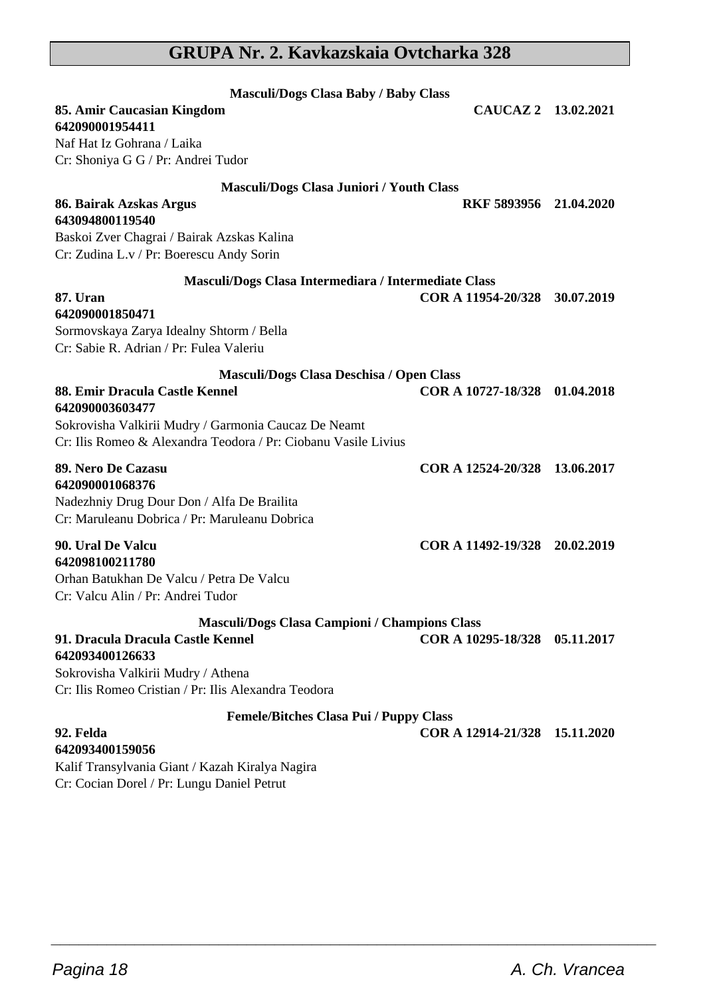### **GRUPA Nr. 2. Kavkazskaia Ovtcharka 328**

| <b>Masculi/Dogs Clasa Baby / Baby Class</b>                                                                                                                                 |                               |            |
|-----------------------------------------------------------------------------------------------------------------------------------------------------------------------------|-------------------------------|------------|
| 85. Amir Caucasian Kingdom<br>642090001954411                                                                                                                               | CAUCAZ 2 13.02.2021           |            |
| Naf Hat Iz Gohrana / Laika<br>Cr: Shoniya G G / Pr: Andrei Tudor                                                                                                            |                               |            |
| Masculi/Dogs Clasa Juniori / Youth Class                                                                                                                                    |                               |            |
| 86. Bairak Azskas Argus<br>643094800119540                                                                                                                                  | RKF 5893956 21.04.2020        |            |
| Baskoi Zver Chagrai / Bairak Azskas Kalina<br>Cr: Zudina L.v / Pr: Boerescu Andy Sorin                                                                                      |                               |            |
| Masculi/Dogs Clasa Intermediara / Intermediate Class                                                                                                                        |                               |            |
| <b>87. Uran</b><br>642090001850471<br>Sormovskaya Zarya Idealny Shtorm / Bella<br>Cr: Sabie R. Adrian / Pr: Fulea Valeriu                                                   | COR A 11954-20/328 30.07.2019 |            |
| Masculi/Dogs Clasa Deschisa / Open Class                                                                                                                                    |                               |            |
| 88. Emir Dracula Castle Kennel<br>642090003603477<br>Sokrovisha Valkirii Mudry / Garmonia Caucaz De Neamt<br>Cr: Ilis Romeo & Alexandra Teodora / Pr: Ciobanu Vasile Livius | COR A 10727-18/328 01.04.2018 |            |
| 89. Nero De Cazasu<br>642090001068376<br>Nadezhniy Drug Dour Don / Alfa De Brailita<br>Cr: Maruleanu Dobrica / Pr: Maruleanu Dobrica                                        | COR A 12524-20/328 13.06.2017 |            |
| 90. Ural De Valcu<br>642098100211780<br>Orhan Batukhan De Valcu / Petra De Valcu<br>Cr: Valcu Alin / Pr: Andrei Tudor                                                       | COR A 11492-19/328 20.02.2019 |            |
| Masculi/Dogs Clasa Campioni / Champions Class                                                                                                                               |                               |            |
| 91. Dracula Dracula Castle Kennel<br>642093400126633<br>Sokrovisha Valkirii Mudry / Athena<br>Cr: Ilis Romeo Cristian / Pr: Ilis Alexandra Teodora                          | COR A 10295-18/328            | 05.11.2017 |
| <b>Femele/Bitches Clasa Pui / Puppy Class</b>                                                                                                                               |                               |            |
| 92. Felda<br>642093400159056<br>Kalif Transylvania Giant / Kazah Kiralya Nagira<br>Cr: Cocian Dorel / Pr: Lungu Daniel Petrut                                               | COR A 12914-21/328 15.11.2020 |            |

 $\overline{\phantom{a}}$  , and the set of the set of the set of the set of the set of the set of the set of the set of the set of the set of the set of the set of the set of the set of the set of the set of the set of the set of the s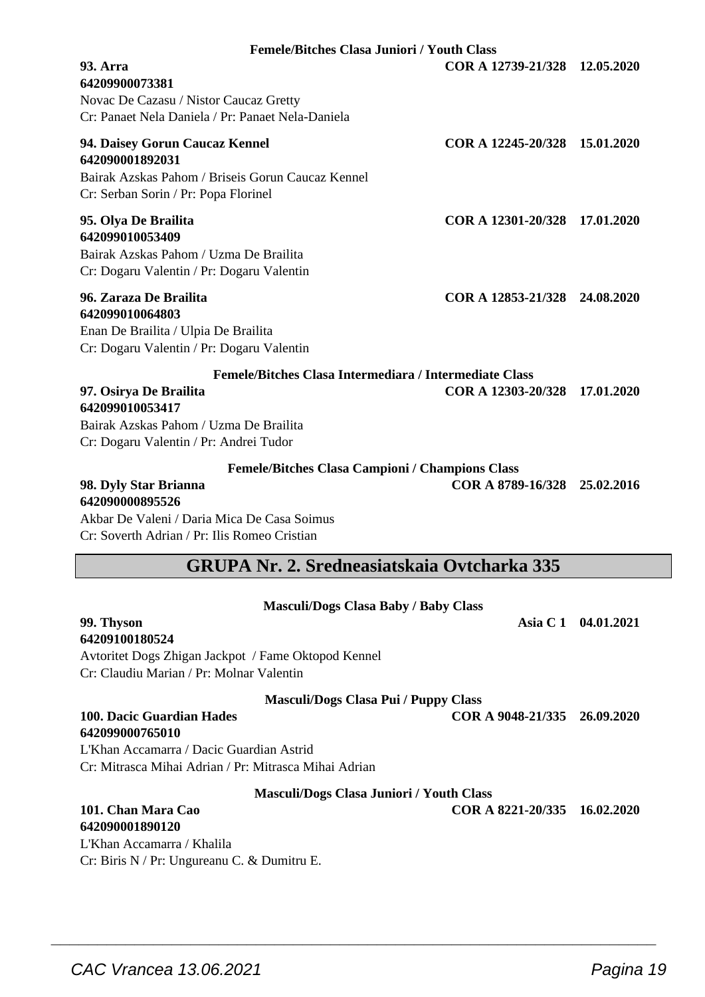| 64209900073381<br>Novac De Cazasu / Nistor Caucaz Gretty<br>Cr: Panaet Nela Daniela / Pr: Panaet Nela-Daniela                                                                                     |                               |                     |
|---------------------------------------------------------------------------------------------------------------------------------------------------------------------------------------------------|-------------------------------|---------------------|
| 94. Daisey Gorun Caucaz Kennel<br>642090001892031<br>Bairak Azskas Pahom / Briseis Gorun Caucaz Kennel<br>Cr: Serban Sorin / Pr: Popa Florinel                                                    | COR A 12245-20/328 15.01.2020 |                     |
| 95. Olya De Brailita<br>642099010053409<br>Bairak Azskas Pahom / Uzma De Brailita<br>Cr: Dogaru Valentin / Pr: Dogaru Valentin                                                                    | COR A 12301-20/328 17.01.2020 |                     |
| 96. Zaraza De Brailita<br>642099010064803<br>Enan De Brailita / Ulpia De Brailita<br>Cr: Dogaru Valentin / Pr: Dogaru Valentin                                                                    | COR A 12853-21/328 24.08.2020 |                     |
| Femele/Bitches Clasa Intermediara / Intermediate Class<br>97. Osirya De Brailita                                                                                                                  | COR A 12303-20/328 17.01.2020 |                     |
| 642099010053417<br>Bairak Azskas Pahom / Uzma De Brailita<br>Cr: Dogaru Valentin / Pr: Andrei Tudor                                                                                               |                               |                     |
| <b>Femele/Bitches Clasa Campioni / Champions Class</b><br>98. Dyly Star Brianna<br>642090000895526<br>Akbar De Valeni / Daria Mica De Casa Soimus<br>Cr: Soverth Adrian / Pr: Ilis Romeo Cristian | COR A 8789-16/328 25.02.2016  |                     |
| <b>GRUPA Nr. 2. Sredneasiatskaia Ovtcharka 335</b>                                                                                                                                                |                               |                     |
| <b>Masculi/Dogs Clasa Baby / Baby Class</b><br>99. Thyson<br>64209100180524<br>Avtoritet Dogs Zhigan Jackpot / Fame Oktopod Kennel<br>Cr: Claudiu Marian / Pr: Molnar Valentin                    |                               | Asia C 1 04.01.2021 |
| <b>Masculi/Dogs Clasa Pui / Puppy Class</b>                                                                                                                                                       |                               |                     |
| 100. Dacic Guardian Hades<br>642099000765010<br>L'Khan Accamarra / Dacic Guardian Astrid                                                                                                          | COR A 9048-21/335 26.09.2020  |                     |

**Femele/Bitches Clasa Juniori / Youth Class 93. Arra COR A 12739-21/328 12.05.2020**

#### **Masculi/Dogs Clasa Juniori / Youth Class**

 $\overline{\phantom{a}}$  , and the set of the set of the set of the set of the set of the set of the set of the set of the set of the set of the set of the set of the set of the set of the set of the set of the set of the set of the s

#### **101. Chan Mara Cao COR A 8221-20/335 16.02.2020 642090001890120**

L'Khan Accamarra / Khalila Cr: Biris N / Pr: Ungureanu C. & Dumitru E.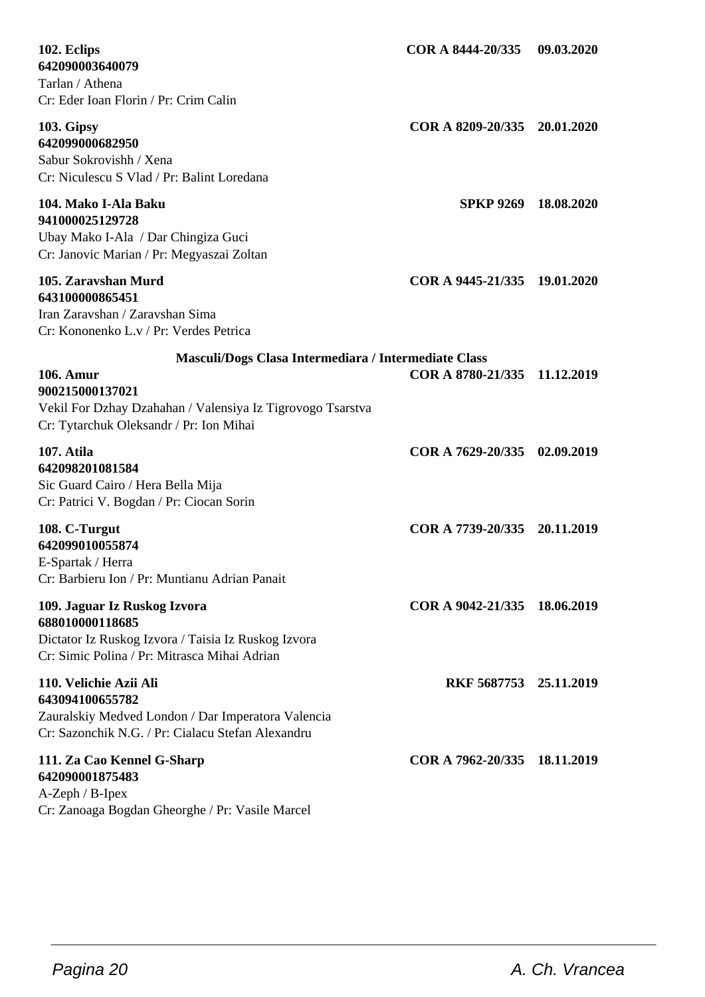| 102. Eclips<br>642090003640079<br>Tarlan / Athena<br>Cr: Eder Ioan Florin / Pr: Crim Calin                                                                                                    | COR A 8444-20/335            | 09.03.2020 |
|-----------------------------------------------------------------------------------------------------------------------------------------------------------------------------------------------|------------------------------|------------|
| 103. Gipsy<br>642099000682950<br>Sabur Sokrovishh / Xena<br>Cr: Niculescu S Vlad / Pr: Balint Loredana                                                                                        | COR A 8209-20/335 20.01.2020 |            |
| 104. Mako I-Ala Baku<br>941000025129728<br>Ubay Mako I-Ala / Dar Chingiza Guci<br>Cr: Janovic Marian / Pr: Megyaszai Zoltan                                                                   | SPKP 9269 18.08.2020         |            |
| 105. Zaravshan Murd<br>643100000865451<br>Iran Zaravshan / Zaravshan Sima<br>Cr: Kononenko L.v / Pr: Verdes Petrica                                                                           | COR A 9445-21/335 19.01.2020 |            |
| Masculi/Dogs Clasa Intermediara / Intermediate Class<br>106. Amur<br>900215000137021<br>Vekil For Dzhay Dzahahan / Valensiya Iz Tigrovogo Tsarstva<br>Cr: Tytarchuk Oleksandr / Pr: Ion Mihai | COR A 8780-21/335 11.12.2019 |            |
| 107. Atila<br>642098201081584<br>Sic Guard Cairo / Hera Bella Mija<br>Cr: Patrici V. Bogdan / Pr: Ciocan Sorin                                                                                | COR A 7629-20/335 02.09.2019 |            |
| 108. C-Turgut<br>642099010055874<br>E-Spartak / Herra<br>Cr: Barbieru Ion / Pr: Muntianu Adrian Panait                                                                                        | COR A 7739-20/335 20.11.2019 |            |
| 109. Jaguar Iz Ruskog Izvora<br>688010000118685<br>Dictator Iz Ruskog Izvora / Taisia Iz Ruskog Izvora<br>Cr: Simic Polina / Pr: Mitrasca Mihai Adrian                                        | COR A 9042-21/335 18.06.2019 |            |
| 110. Velichie Azii Ali<br>643094100655782<br>Zauralskiy Medved London / Dar Imperatora Valencia<br>Cr: Sazonchik N.G. / Pr: Cialacu Stefan Alexandru                                          | RKF 5687753 25.11.2019       |            |
| 111. Za Cao Kennel G-Sharp<br>642090001875483<br>$A-Zeph / B-Ipex$<br>Cr: Zanoaga Bogdan Gheorghe / Pr: Vasile Marcel                                                                         | COR A 7962-20/335 18.11.2019 |            |

 $\overline{\phantom{a}}$  , and the set of the set of the set of the set of the set of the set of the set of the set of the set of the set of the set of the set of the set of the set of the set of the set of the set of the set of the s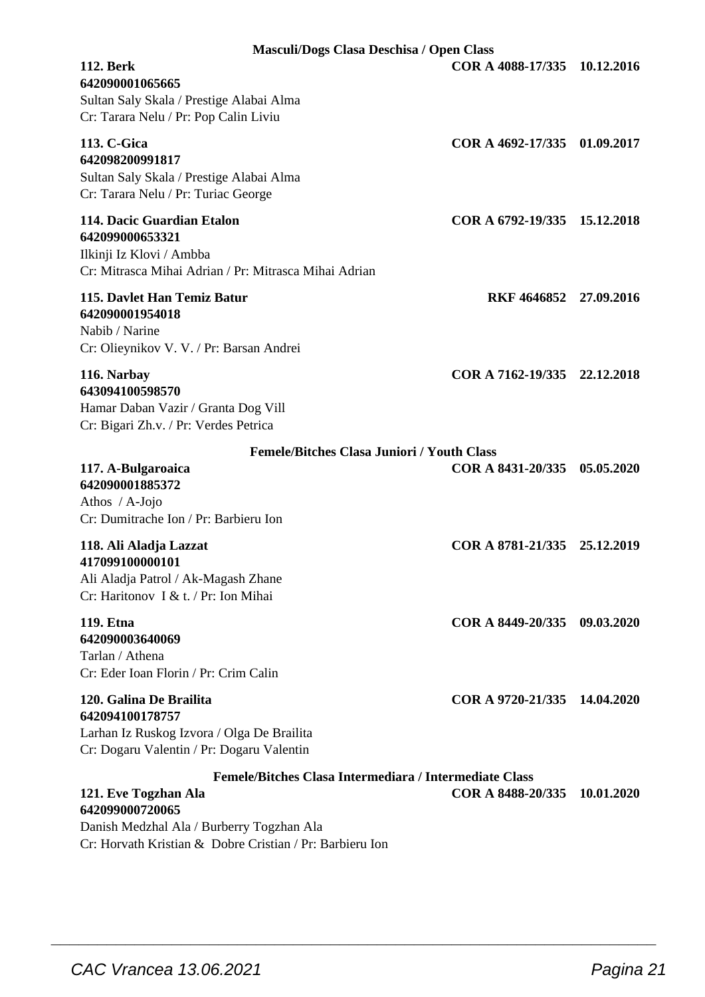| Masculi/Dogs Clasa Deschisa / Open Class                                                                                              |                              |            |
|---------------------------------------------------------------------------------------------------------------------------------------|------------------------------|------------|
| <b>112. Berk</b><br>642090001065665<br>Sultan Saly Skala / Prestige Alabai Alma<br>Cr: Tarara Nelu / Pr: Pop Calin Liviu              | COR A 4088-17/335            | 10.12.2016 |
| 113. C-Gica<br>642098200991817<br>Sultan Saly Skala / Prestige Alabai Alma<br>Cr: Tarara Nelu / Pr: Turiac George                     | COR A 4692-17/335 01.09.2017 |            |
| 114. Dacic Guardian Etalon<br>642099000653321<br>Ilkinji Iz Klovi / Ambba<br>Cr: Mitrasca Mihai Adrian / Pr: Mitrasca Mihai Adrian    | COR A 6792-19/335 15.12.2018 |            |
| 115. Davlet Han Temiz Batur<br>642090001954018<br>Nabib / Narine<br>Cr: Olieynikov V. V. / Pr: Barsan Andrei                          | RKF 4646852 27.09.2016       |            |
| 116. Narbay<br>643094100598570<br>Hamar Daban Vazir / Granta Dog Vill<br>Cr: Bigari Zh.v. / Pr: Verdes Petrica                        | COR A 7162-19/335 22.12.2018 |            |
| <b>Femele/Bitches Clasa Juniori / Youth Class</b>                                                                                     |                              |            |
| 117. A-Bulgaroaica<br>642090001885372<br>Athos / A-Jojo<br>Cr: Dumitrache Ion / Pr: Barbieru Ion                                      | COR A 8431-20/335 05.05.2020 |            |
| 118. Ali Aladja Lazzat<br>417099100000101<br>Ali Aladja Patrol / Ak-Magash Zhane<br>Cr: Haritonov I & t. / Pr: Ion Mihai              | COR A 8781-21/335 25.12.2019 |            |
| 119. Etna<br>642090003640069<br>Tarlan / Athena<br>Cr: Eder Ioan Florin / Pr: Crim Calin                                              | COR A 8449-20/335 09.03.2020 |            |
| 120. Galina De Brailita<br>642094100178757<br>Larhan Iz Ruskog Izvora / Olga De Brailita<br>Cr: Dogaru Valentin / Pr: Dogaru Valentin | COR A 9720-21/335 14.04.2020 |            |
| Femele/Bitches Clasa Intermediara / Intermediate Class                                                                                |                              |            |
| 121. Eve Togzhan Ala<br>642099000720065                                                                                               | COR A 8488-20/335            | 10.01.2020 |

 $\overline{\phantom{a}}$  , and the set of the set of the set of the set of the set of the set of the set of the set of the set of the set of the set of the set of the set of the set of the set of the set of the set of the set of the s

Danish Medzhal Ala / Burberry Togzhan Ala Cr: Horvath Kristian & Dobre Cristian / Pr: Barbieru Ion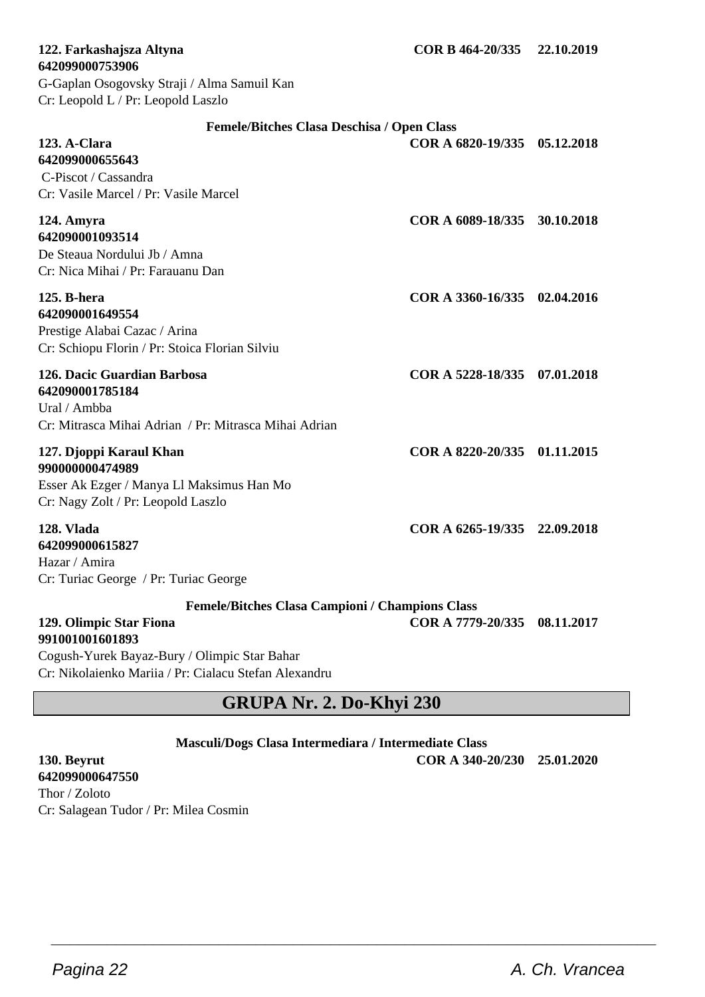#### **642099000753906** G-Gaplan Osogovsky Straji / Alma Samuil Kan Cr: Leopold L / Pr: Leopold Laszlo

#### **Femele/Bitches Clasa Deschisa / Open Class**

| 123. A-Clara<br>642099000655643<br>C-Piscot / Cassandra<br>Cr: Vasile Marcel / Pr: Vasile Marcel                              | COR A 6820-19/335 05.12.2018 |  |
|-------------------------------------------------------------------------------------------------------------------------------|------------------------------|--|
| 124. Amyra<br>642090001093514<br>De Steaua Nordului Jb / Amna<br>Cr: Nica Mihai / Pr: Farauanu Dan                            | COR A 6089-18/335 30.10.2018 |  |
| 125. B-hera<br>642090001649554<br>Prestige Alabai Cazac / Arina<br>Cr: Schiopu Florin / Pr: Stoica Florian Silviu             | COR A 3360-16/335 02.04.2016 |  |
| 126. Dacic Guardian Barbosa<br>642090001785184<br>Ural / Ambha<br>Cr: Mitrasca Mihai Adrian / Pr: Mitrasca Mihai Adrian       | COR A 5228-18/335 07.01.2018 |  |
| 127. Djoppi Karaul Khan<br>990000000474989<br>Esser Ak Ezger / Manya Ll Maksimus Han Mo<br>Cr: Nagy Zolt / Pr: Leopold Laszlo | COR A 8220-20/335 01.11.2015 |  |
| 128. Vlada<br>642099000615827<br>Hazar / Amira<br>Cr: Turiac George / Pr: Turiac George                                       | COR A 6265-19/335 22.09.2018 |  |
| <b>Femele/Bitches Clasa Campioni / Champions Class</b>                                                                        |                              |  |

**129. Olimpic Star Fiona COR A 7779-20/335 08.11.2017**

**991001001601893** Cogush-Yurek Bayaz-Bury / Olimpic Star Bahar Cr: Nikolaienko Mariia / Pr: Cialacu Stefan Alexandru

### **GRUPA Nr. 2. Do-Khyi 230**

**Masculi/Dogs Clasa Intermediara / Intermediate Class**

 $\overline{\phantom{a}}$  , and the set of the set of the set of the set of the set of the set of the set of the set of the set of the set of the set of the set of the set of the set of the set of the set of the set of the set of the s

**130. Beyrut COR A 340-20/230 25.01.2020**

**642099000647550** Thor / Zoloto Cr: Salagean Tudor / Pr: Milea Cosmin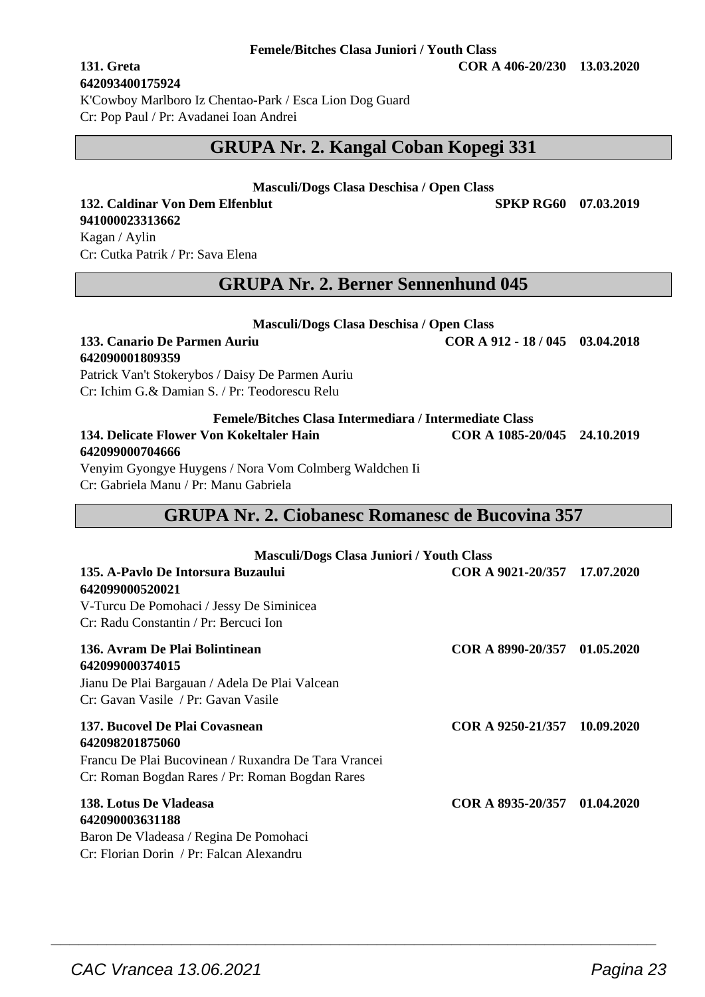#### **Femele/Bitches Clasa Juniori / Youth Class**

**131. Greta COR A 406-20/230 13.03.2020**

**642093400175924** K'Cowboy Marlboro Iz Chentao-Park / Esca Lion Dog Guard Cr: Pop Paul / Pr: Avadanei Ioan Andrei

### **GRUPA Nr. 2. Kangal Coban Kopegi 331**

#### **Masculi/Dogs Clasa Deschisa / Open Class**

#### **132. Caldinar Von Dem Elfenblut SPKP RG60 07.03.2019 941000023313662**

Kagan / Aylin Cr: Cutka Patrik / Pr: Sava Elena

### **GRUPA Nr. 2. Berner Sennenhund 045**

| Masculi/Dogs Clasa Deschisa / Open Class               |                                 |  |
|--------------------------------------------------------|---------------------------------|--|
| 133. Canario De Parmen Auriu                           | COR A $912 - 18/045$ 03.04.2018 |  |
| 642090001809359                                        |                                 |  |
| Patrick Van't Stokerybos / Daisy De Parmen Auriu       |                                 |  |
| Cr: Ichim G.& Damian S. / Pr: Teodorescu Relu          |                                 |  |
| Femele/Bitches Clasa Intermediara / Intermediate Class |                                 |  |

### **134. Delicate Flower Von Kokeltaler Hain COR A 1085-20/045 24.10.2019 642099000704666**

Venyim Gyongye Huygens / Nora Vom Colmberg Waldchen Ii Cr: Gabriela Manu / Pr: Manu Gabriela

### **GRUPA Nr. 2. Ciobanesc Romanesc de Bucovina 357**

| <b>Masculi/Dogs Clasa Juniori / Youth Class</b>       |                              |  |
|-------------------------------------------------------|------------------------------|--|
| 135. A-Paylo De Intorsura Buzaului<br>642099000520021 | COR A 9021-20/357 17.07.2020 |  |
| V-Turcu De Pomohaci / Jessy De Siminicea              |                              |  |
| Cr: Radu Constantin / Pr: Bercuci Ion                 |                              |  |
| 136. Avram De Plai Bolintinean<br>642099000374015     | COR A 8990-20/357 01.05.2020 |  |
| Jianu De Plai Bargauan / Adela De Plai Valcean        |                              |  |
| Cr: Gavan Vasile / Pr: Gavan Vasile                   |                              |  |
| 137. Bucovel De Plai Covasnean                        | COR A 9250-21/357 10.09.2020 |  |
| 642098201875060                                       |                              |  |
| Francu De Plai Bucovinean / Ruxandra De Tara Vrancei  |                              |  |
| Cr: Roman Bogdan Rares / Pr: Roman Bogdan Rares       |                              |  |
| 138. Lotus De Vladeasa                                | COR A 8935-20/357 01.04.2020 |  |
| 642090003631188                                       |                              |  |
| Baron De Vladeasa / Regina De Pomohaci                |                              |  |
| Cr: Florian Dorin / Pr: Falcan Alexandru              |                              |  |

 $\overline{\phantom{a}}$  , and the set of the set of the set of the set of the set of the set of the set of the set of the set of the set of the set of the set of the set of the set of the set of the set of the set of the set of the s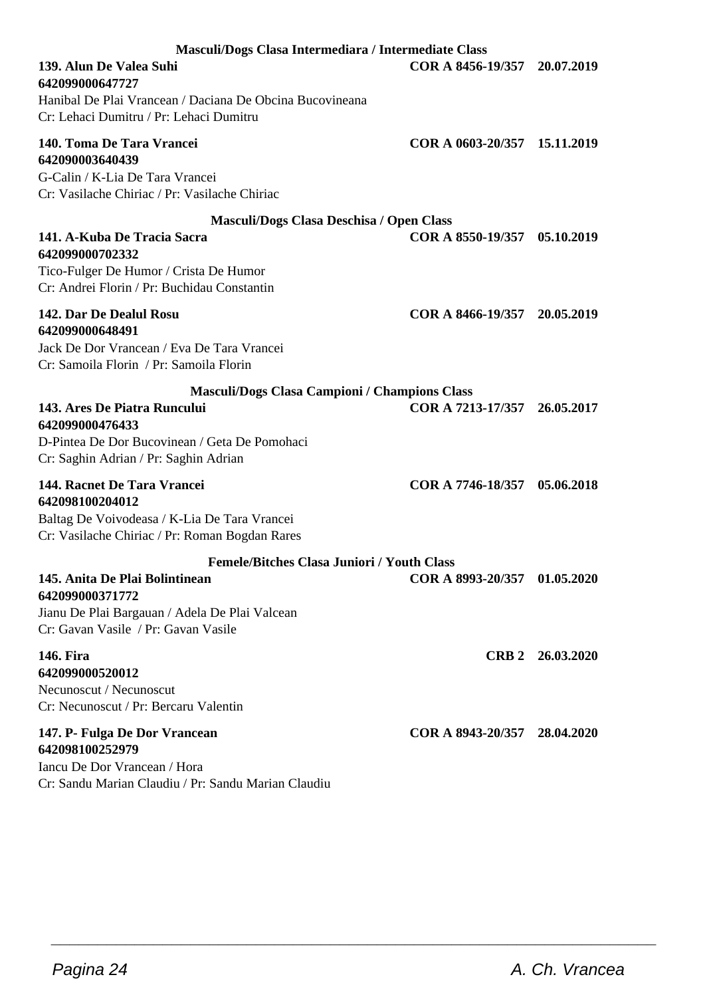| Masculi/Dogs Clasa Intermediara / Intermediate Class                                                                                             |                              |                  |
|--------------------------------------------------------------------------------------------------------------------------------------------------|------------------------------|------------------|
| 139. Alun De Valea Suhi<br>642099000647727                                                                                                       | COR A 8456-19/357            | 20.07.2019       |
| Hanibal De Plai Vrancean / Daciana De Obcina Bucovineana<br>Cr: Lehaci Dumitru / Pr: Lehaci Dumitru                                              |                              |                  |
| 140. Toma De Tara Vrancei<br>642090003640439<br>G-Calin / K-Lia De Tara Vrancei<br>Cr: Vasilache Chiriac / Pr: Vasilache Chiriac                 | COR A 0603-20/357 15.11.2019 |                  |
| Masculi/Dogs Clasa Deschisa / Open Class                                                                                                         |                              |                  |
| 141. A-Kuba De Tracia Sacra<br>642099000702332<br>Tico-Fulger De Humor / Crista De Humor<br>Cr: Andrei Florin / Pr: Buchidau Constantin          | COR A 8550-19/357            | 05.10.2019       |
| 142. Dar De Dealul Rosu<br>642099000648491<br>Jack De Dor Vrancean / Eva De Tara Vrancei<br>Cr: Samoila Florin / Pr: Samoila Florin              | COR A 8466-19/357 20.05.2019 |                  |
| <b>Masculi/Dogs Clasa Campioni / Champions Class</b>                                                                                             |                              |                  |
| 143. Ares De Piatra Runcului<br>642099000476433<br>D-Pintea De Dor Bucovinean / Geta De Pomohaci<br>Cr: Saghin Adrian / Pr: Saghin Adrian        | COR A 7213-17/357 26.05.2017 |                  |
| 144. Racnet De Tara Vrancei<br>642098100204012<br>Baltag De Voivodeasa / K-Lia De Tara Vrancei<br>Cr: Vasilache Chiriac / Pr: Roman Bogdan Rares | COR A 7746-18/357            | 05.06.2018       |
| <b>Femele/Bitches Clasa Juniori / Youth Class</b>                                                                                                |                              |                  |
| 145. Anita De Plai Bolintinean<br>642099000371772<br>Jianu De Plai Bargauan / Adela De Plai Valcean<br>Cr: Gavan Vasile / Pr: Gavan Vasile       | COR A 8993-20/357 01.05.2020 |                  |
| 146. Fira<br>642099000520012<br>Necunoscut / Necunoscut<br>Cr: Necunoscut / Pr: Bercaru Valentin                                                 |                              | CRB 2 26.03.2020 |
| 147. P- Fulga De Dor Vrancean<br>642098100252979<br>Iancu De Dor Vrancean / Hora<br>Cr: Sandu Marian Claudiu / Pr: Sandu Marian Claudiu          | COR A 8943-20/357 28.04.2020 |                  |

 $\overline{\phantom{a}}$  , and the set of the set of the set of the set of the set of the set of the set of the set of the set of the set of the set of the set of the set of the set of the set of the set of the set of the set of the s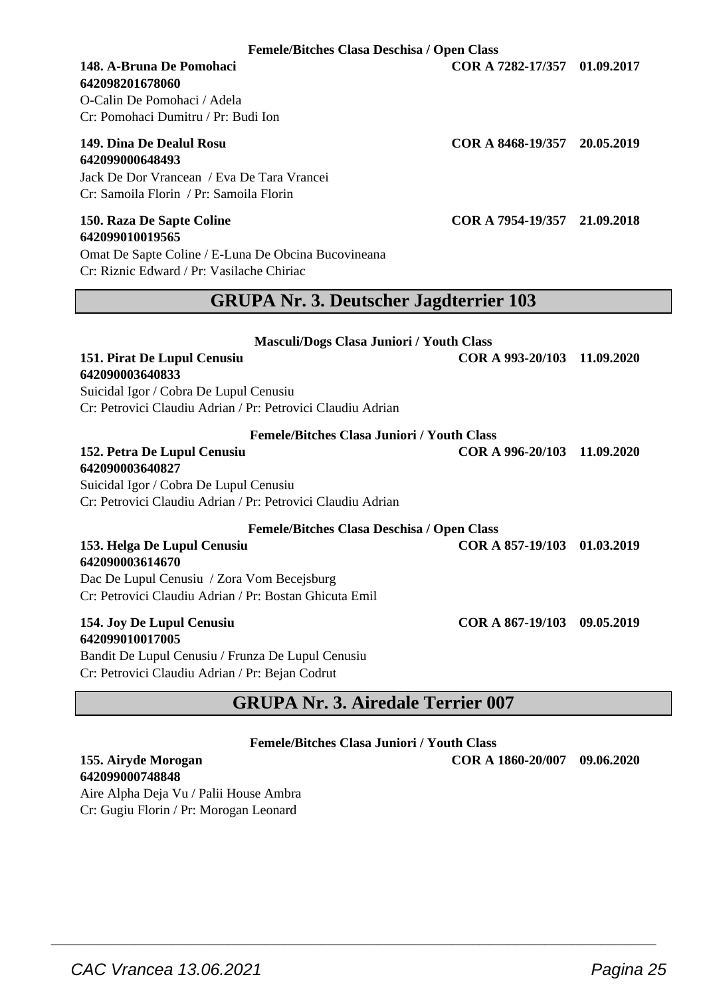**Femele/Bitches Clasa Deschisa / Open Class**

## **642098201678060**

O-Calin De Pomohaci / Adela Cr: Pomohaci Dumitru / Pr: Budi Ion

## **642099000648493**

Jack De Dor Vrancean / Eva De Tara Vrancei Cr: Samoila Florin / Pr: Samoila Florin

#### **150. Raza De Sapte Coline COR A 7954-19/357 21.09.2018 642099010019565**

Omat De Sapte Coline / E-Luna De Obcina Bucovineana Cr: Riznic Edward / Pr: Vasilache Chiriac

### **GRUPA Nr. 3. Deutscher Jagdterrier 103**

| <b>Masculi/Dogs Clasa Juniori / Youth Class</b>             |                             |            |
|-------------------------------------------------------------|-----------------------------|------------|
| 151. Pirat De Lupul Cenusiu                                 | COR A 993-20/103 11.09.2020 |            |
| 642090003640833                                             |                             |            |
| Suicidal Igor / Cobra De Lupul Cenusiu                      |                             |            |
| Cr: Petrovici Claudiu Adrian / Pr: Petrovici Claudiu Adrian |                             |            |
| <b>Femele/Bitches Clasa Juniori / Youth Class</b>           |                             |            |
| 152. Petra De Lupul Cenusiu                                 | COR A 996-20/103            | 11.09.2020 |
| 642090003640827                                             |                             |            |
| Suicidal Igor / Cobra De Lupul Cenusiu                      |                             |            |
| Cr: Petrovici Claudiu Adrian / Pr: Petrovici Claudiu Adrian |                             |            |
| <b>Femele/Bitches Clasa Deschisa / Open Class</b>           |                             |            |
| 153. Helga De Lupul Cenusiu                                 | COR A 857-19/103 01.03.2019 |            |
| 642090003614670                                             |                             |            |
| Dac De Lupul Cenusiu / Zora Vom Becejsburg                  |                             |            |
| Cr: Petrovici Claudiu Adrian / Pr: Bostan Ghicuta Emil      |                             |            |
| 154. Joy De Lupul Cenusiu                                   | COR A 867-19/103 09.05.2019 |            |
| <b>642099010017005</b>                                      |                             |            |
| Bandit De Lupul Cenusiu / Frunza De Lupul Cenusiu           |                             |            |
| Cr: Petrovici Claudiu Adrian / Pr: Bejan Codrut             |                             |            |

### **GRUPA Nr. 3. Airedale Terrier 007**

**Femele/Bitches Clasa Juniori / Youth Class**

 $\overline{\phantom{a}}$  , and the set of the set of the set of the set of the set of the set of the set of the set of the set of the set of the set of the set of the set of the set of the set of the set of the set of the set of the s

**642099000748848**

Aire Alpha Deja Vu / Palii House Ambra Cr: Gugiu Florin / Pr: Morogan Leonard

**148. A-Bruna De Pomohaci COR A 7282-17/357 01.09.2017**

**149. Dina De Dealul Rosu COR A 8468-19/357 20.05.2019**

**155. Airyde Morogan COR A 1860-20/007 09.06.2020**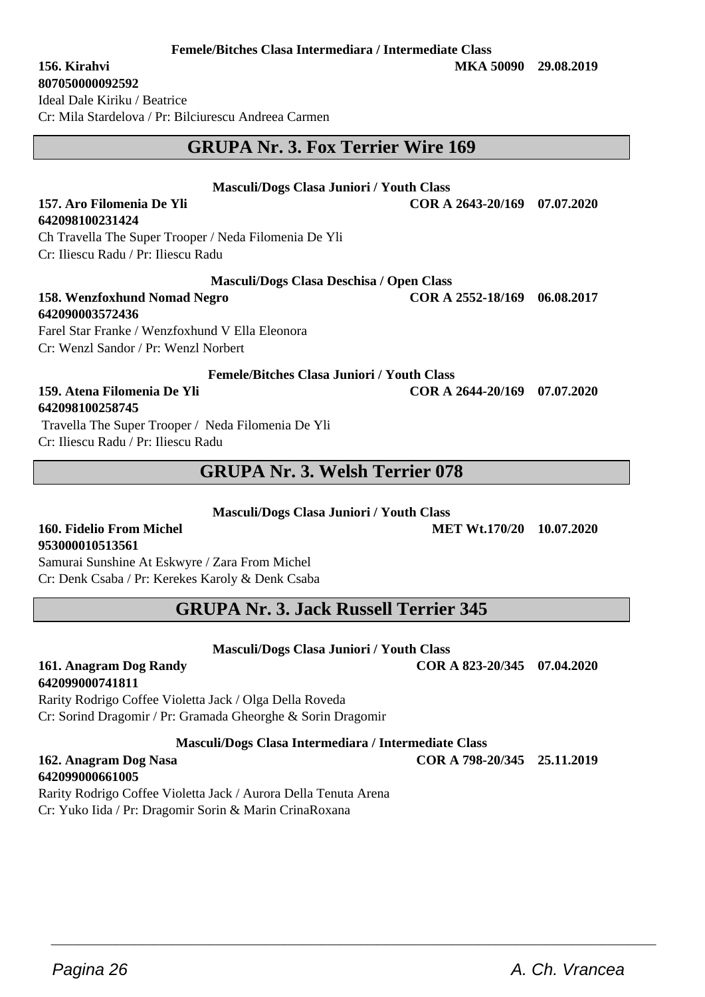#### **Femele/Bitches Clasa Intermediara / Intermediate Class**

#### **807050000092592**

**642098100231424**

Ideal Dale Kiriku / Beatrice Cr: Mila Stardelova / Pr: Bilciurescu Andreea Carmen

### **GRUPA Nr. 3. Fox Terrier Wire 169**

#### **Masculi/Dogs Clasa Juniori / Youth Class**

**157. Aro Filomenia De Yli COR A 2643-20/169 07.07.2020**

Ch Travella The Super Trooper / Neda Filomenia De Yli Cr: Iliescu Radu / Pr: Iliescu Radu

#### **Masculi/Dogs Clasa Deschisa / Open Class**

#### **158. Wenzfoxhund Nomad Negro COR A 2552-18/169 06.08.2017 642090003572436** Farel Star Franke / Wenzfoxhund V Ella Eleonora

Cr: Wenzl Sandor / Pr: Wenzl Norbert

**Femele/Bitches Clasa Juniori / Youth Class**

#### **159. Atena Filomenia De Yli COR A 2644-20/169 07.07.2020 642098100258745**

 Travella The Super Trooper / Neda Filomenia De Yli Cr: Iliescu Radu / Pr: Iliescu Radu

### **GRUPA Nr. 3. Welsh Terrier 078**

**Masculi/Dogs Clasa Juniori / Youth Class**

#### **160. Fidelio From Michel MET Wt.170/20 10.07.2020 953000010513561**

Samurai Sunshine At Eskwyre / Zara From Michel Cr: Denk Csaba / Pr: Kerekes Karoly & Denk Csaba

### **GRUPA Nr. 3. Jack Russell Terrier 345**

**Masculi/Dogs Clasa Juniori / Youth Class**

**161. Anagram Dog Randy COR A 823-20/345 07.04.2020**

**642099000741811** Rarity Rodrigo Coffee Violetta Jack / Olga Della Roveda Cr: Sorind Dragomir / Pr: Gramada Gheorghe & Sorin Dragomir

**Masculi/Dogs Clasa Intermediara / Intermediate Class**

 $\overline{\phantom{a}}$  , and the set of the set of the set of the set of the set of the set of the set of the set of the set of the set of the set of the set of the set of the set of the set of the set of the set of the set of the s

#### **162. Anagram Dog Nasa COR A 798-20/345 25.11.2019 642099000661005**

Rarity Rodrigo Coffee Violetta Jack / Aurora Della Tenuta Arena Cr: Yuko Iida / Pr: Dragomir Sorin & Marin CrinaRoxana

**156. Kirahvi MKA 50090 29.08.2019**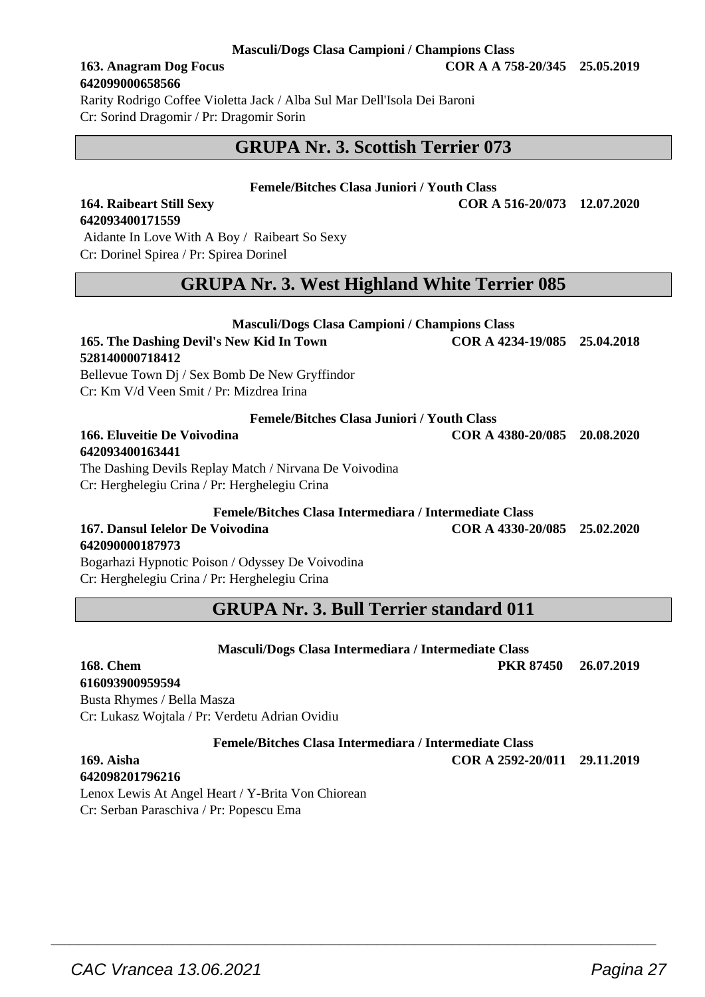#### **Masculi/Dogs Clasa Campioni / Champions Class**

## **642099000658566**

**642093400171559**

Rarity Rodrigo Coffee Violetta Jack / Alba Sul Mar Dell'Isola Dei Baroni Cr: Sorind Dragomir / Pr: Dragomir Sorin

### **GRUPA Nr. 3. Scottish Terrier 073**

#### **Femele/Bitches Clasa Juniori / Youth Class**

**164. Raibeart Still Sexy COR A 516-20/073 12.07.2020**

#### Aidante In Love With A Boy / Raibeart So Sexy Cr: Dorinel Spirea / Pr: Spirea Dorinel

### **GRUPA Nr. 3. West Highland White Terrier 085**

| Masculi/Dogs Clasa Campioni / Champions Class          |                                                                       |  |
|--------------------------------------------------------|-----------------------------------------------------------------------|--|
| 165. The Dashing Devil's New Kid In Town               | COR A 4234-19/085 25.04.2018                                          |  |
| 528140000718412                                        |                                                                       |  |
| Bellevue Town Dj / Sex Bomb De New Gryffindor          |                                                                       |  |
| Cr: Km V/d Veen Smit / Pr: Mizdrea Irina               |                                                                       |  |
| <b>Femele/Bitches Clasa Juniori / Youth Class</b>      |                                                                       |  |
| 166. Eluveitie De Voivodina                            | COR A 4380-20/085 20.08.2020                                          |  |
| 642093400163441                                        |                                                                       |  |
| The Dashing Devils Replay Match / Nirvana De Voivodina |                                                                       |  |
| Cr: Herghelegiu Crina / Pr: Herghelegiu Crina          |                                                                       |  |
| Femele/Bitches Clasa Intermediara / Intermediate Class |                                                                       |  |
| $\sim$                                                 | $\alpha$ $\alpha$ $\beta$ $\alpha$ $\alpha$ $\alpha$ $\alpha$ $\beta$ |  |

## **642090000187973**

**167. Dansul Ielelor De Voivodina COR A 4330-20/085 25.02.2020**

Bogarhazi Hypnotic Poison / Odyssey De Voivodina Cr: Herghelegiu Crina / Pr: Herghelegiu Crina

### **GRUPA Nr. 3. Bull Terrier standard 011**

 $\overline{\phantom{a}}$  , and the set of the set of the set of the set of the set of the set of the set of the set of the set of the set of the set of the set of the set of the set of the set of the set of the set of the set of the s

| Masculi/Dogs Clasa Intermediara / Intermediate Class   |                  |            |
|--------------------------------------------------------|------------------|------------|
| <b>168. Chem</b>                                       | <b>PKR 87450</b> | 26.07.2019 |
| 616093900959594                                        |                  |            |
| Busta Rhymes / Bella Masza                             |                  |            |
| Cr: Lukasz Wojtala / Pr: Verdetu Adrian Ovidiu         |                  |            |
| Femele/Bitches Clasa Intermediara / Intermediate Class |                  |            |

**169. Aisha COR A 2592-20/011 29.11.2019**

**642098201796216** Lenox Lewis At Angel Heart / Y-Brita Von Chiorean Cr: Serban Paraschiva / Pr: Popescu Ema

**163. Anagram Dog Focus COR A A 758-20/345 25.05.2019**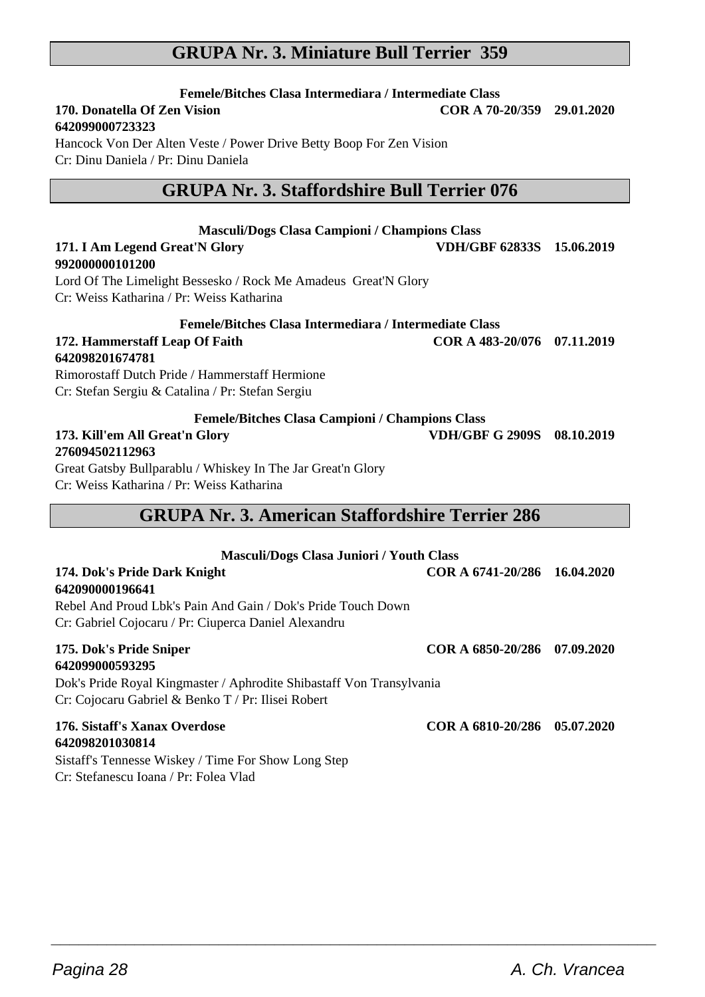### **GRUPA Nr. 3. Miniature Bull Terrier 359**

**Femele/Bitches Clasa Intermediara / Intermediate Class 170. Donatella Of Zen Vision COR A 70-20/359 29.01.2020**

#### **642099000723323**

Hancock Von Der Alten Veste / Power Drive Betty Boop For Zen Vision Cr: Dinu Daniela / Pr: Dinu Daniela

### **GRUPA Nr. 3. Staffordshire Bull Terrier 076**

### **Masculi/Dogs Clasa Campioni / Champions Class 171. I Am Legend Great'N Glory VDH/GBF 62833S 15.06.2019 992000000101200** Lord Of The Limelight Bessesko / Rock Me Amadeus Great'N Glory Cr: Weiss Katharina / Pr: Weiss Katharina **Femele/Bitches Clasa Intermediara / Intermediate Class 172. Hammerstaff Leap Of Faith COR A 483-20/076 07.11.2019 642098201674781** Rimorostaff Dutch Pride / Hammerstaff Hermione Cr: Stefan Sergiu & Catalina / Pr: Stefan Sergiu **Femele/Bitches Clasa Campioni / Champions Class**

### **173. Kill'em All Great'n Glory VDH/GBF G 2909S 08.10.2019 276094502112963**

Great Gatsby Bullparablu / Whiskey In The Jar Great'n Glory Cr: Weiss Katharina / Pr: Weiss Katharina

### **GRUPA Nr. 3. American Staffordshire Terrier 286**

| <b>Masculi/Dogs Clasa Juniori / Youth Class</b>                      |                              |  |
|----------------------------------------------------------------------|------------------------------|--|
| 174. Dok's Pride Dark Knight                                         | COR A 6741-20/286 16.04.2020 |  |
| 642090000196641                                                      |                              |  |
| Rebel And Proud Lbk's Pain And Gain / Dok's Pride Touch Down         |                              |  |
| Cr: Gabriel Cojocaru / Pr: Ciuperca Daniel Alexandru                 |                              |  |
| 175. Dok's Pride Sniper                                              | COR A 6850-20/286 07.09.2020 |  |
| 642099000593295                                                      |                              |  |
| Dok's Pride Royal Kingmaster / Aphrodite Shibastaff Von Transylvania |                              |  |
| Cr: Cojocaru Gabriel & Benko T / Pr: Ilisei Robert                   |                              |  |
| 176. Sistaff's Xanax Overdose                                        | COR A 6810-20/286 05.07.2020 |  |
| 642098201030814                                                      |                              |  |

 $\overline{\phantom{a}}$  , and the set of the set of the set of the set of the set of the set of the set of the set of the set of the set of the set of the set of the set of the set of the set of the set of the set of the set of the s

Sistaff's Tennesse Wiskey / Time For Show Long Step Cr: Stefanescu Ioana / Pr: Folea Vlad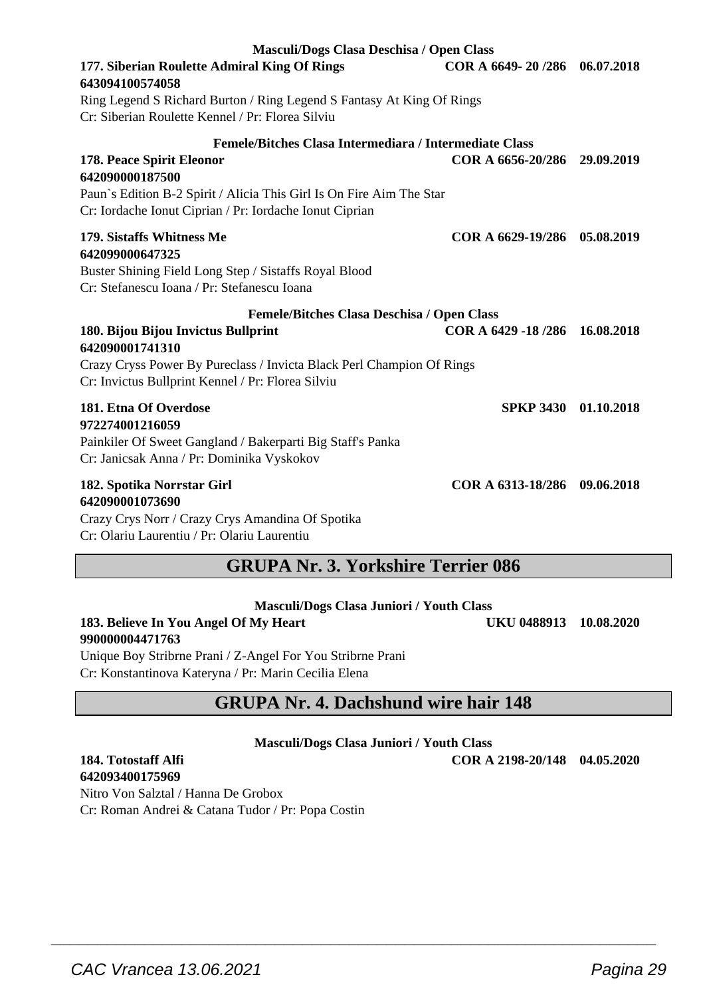| CAC Vrancea 13.06.2021<br>Pagina 29 |  |
|-------------------------------------|--|
|                                     |  |
|                                     |  |

| Masculi/Dogs Clasa Deschisa / Open Class                                                                                                             |                               |  |
|------------------------------------------------------------------------------------------------------------------------------------------------------|-------------------------------|--|
| 177. Siberian Roulette Admiral King Of Rings<br>643094100574058                                                                                      | COR A 6649-20/286 06.07.2018  |  |
| Ring Legend S Richard Burton / Ring Legend S Fantasy At King Of Rings<br>Cr: Siberian Roulette Kennel / Pr: Florea Silviu                            |                               |  |
| Femele/Bitches Clasa Intermediara / Intermediate Class                                                                                               |                               |  |
| 178. Peace Spirit Eleonor<br>642090000187500                                                                                                         | COR A 6656-20/286 29.09.2019  |  |
| Paun's Edition B-2 Spirit / Alicia This Girl Is On Fire Aim The Star<br>Cr: Iordache Ionut Ciprian / Pr: Iordache Ionut Ciprian                      |                               |  |
| 179. Sistaffs Whitness Me<br>642099000647325<br>Buster Shining Field Long Step / Sistaffs Royal Blood<br>Cr: Stefanescu Ioana / Pr: Stefanescu Ioana | COR A 6629-19/286 05.08.2019  |  |
| <b>Femele/Bitches Clasa Deschisa / Open Class</b>                                                                                                    |                               |  |
| 180. Bijou Bijou Invictus Bullprint<br>642090001741310                                                                                               | COR A 6429 -18/286 16.08.2018 |  |
| Crazy Cryss Power By Pureclass / Invicta Black Perl Champion Of Rings<br>Cr: Invictus Bullprint Kennel / Pr: Florea Silviu                           |                               |  |
| 181. Etna Of Overdose<br>972274001216059<br>Painkiler Of Sweet Gangland / Bakerparti Big Staff's Panka<br>Cr: Janicsak Anna / Pr: Dominika Vyskokov  | SPKP 3430 01.10.2018          |  |
| 182. Spotika Norrstar Girl<br>642090001073690<br>Crazy Crys Norr / Crazy Crys Amandina Of Spotika                                                    | COR A 6313-18/286 09.06.2018  |  |

Cr: Olariu Laurentiu / Pr: Olariu Laurentiu

### **GRUPA Nr. 3. Yorkshire Terrier 086**

| <b>Masculi/Dogs Clasa Juniori / Youth Class</b>                                                                           |                        |  |
|---------------------------------------------------------------------------------------------------------------------------|------------------------|--|
| 183. Believe In You Angel Of My Heart                                                                                     | UKU 0488913 10.08.2020 |  |
| 990000004471763                                                                                                           |                        |  |
| $\mathbf{H}$ , and $\mathbf{H}$ , $\mathbf{H}$ , $\mathbf{H}$ , $\mathbf{H}$ , $\mathbf{H}$ , $\mathbf{H}$ , $\mathbf{H}$ |                        |  |

Unique Boy Stribrne Prani / Z-Angel For You Stribrne Prani Cr: Konstantinova Kateryna / Pr: Marin Cecilia Elena

### **GRUPA Nr. 4. Dachshund wire hair 148**

**Masculi/Dogs Clasa Juniori / Youth Class**

## **642093400175969**

**184. Totostaff Alfi COR A 2198-20/148 04.05.2020**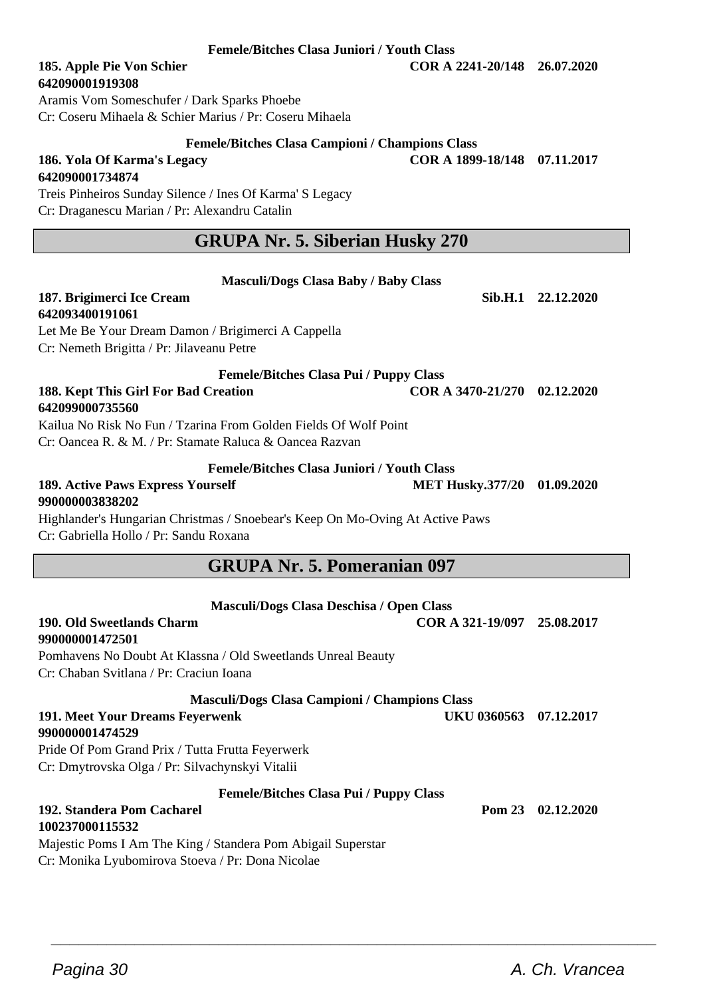#### **Femele/Bitches Clasa Juniori / Youth Class**

## **642090001919308**

Aramis Vom Someschufer / Dark Sparks Phoebe Cr: Coseru Mihaela & Schier Marius / Pr: Coseru Mihaela

#### **Femele/Bitches Clasa Campioni / Champions Class**

**186. Yola Of Karma's Legacy COR A 1899-18/148 07.11.2017**

**642090001734874** Treis Pinheiros Sunday Silence / Ines Of Karma' S Legacy Cr: Draganescu Marian / Pr: Alexandru Catalin

### **GRUPA Nr. 5. Siberian Husky 270**

**Masculi/Dogs Clasa Baby / Baby Class**

| 187. Brigimerci Ice Cream                                                                                               |                              | Sib.H.1 22.12.2020 |
|-------------------------------------------------------------------------------------------------------------------------|------------------------------|--------------------|
| 642093400191061<br>Let Me Be Your Dream Damon / Brigimerci A Cappella<br>Cr: Nemeth Brigitta / Pr: Jilaveanu Petre      |                              |                    |
|                                                                                                                         |                              |                    |
| <b>Femele/Bitches Clasa Pui / Puppy Class</b>                                                                           |                              |                    |
| 188. Kept This Girl For Bad Creation<br>642099000735560                                                                 | COR A 3470-21/270 02.12.2020 |                    |
| Kailua No Risk No Fun / Tzarina From Golden Fields Of Wolf Point                                                        |                              |                    |
| Cr: Oancea R, & M, / Pr: Stamate Raluca & Oancea Razvan                                                                 |                              |                    |
| <b>Femele/Bitches Clasa Juniori / Youth Class</b>                                                                       |                              |                    |
| 189. Active Paws Express Yourself<br>990000003838202                                                                    | MET Husky.377/20 01.09.2020  |                    |
| Highlander's Hungarian Christmas / Snoebear's Keep On Mo-Oving At Active Paws<br>Cr: Gabriella Hollo / Pr: Sandu Roxana |                              |                    |
| <b>GRUPA Nr. 5. Pomeranian 097</b>                                                                                      |                              |                    |
|                                                                                                                         |                              |                    |
| Masculi/Dogs Clasa Deschisa / Open Class                                                                                |                              |                    |
| 190. Old Sweetlands Charm<br>990000001472501                                                                            | COR A 321-19/097 25.08.2017  |                    |
| Pomhavens No Doubt At Klassna / Old Sweetlands Unreal Beauty                                                            |                              |                    |
| Cr: Chaban Svitlana / Pr: Craciun Ioana                                                                                 |                              |                    |
| <b>Masculi/Dogs Clasa Campioni / Champions Class</b>                                                                    |                              |                    |
| 191. Meet Your Dreams Feyerwenk                                                                                         | UKU 0360563 07.12.2017       |                    |
| 990000001474529                                                                                                         |                              |                    |
| Pride Of Pom Grand Prix / Tutta Frutta Feyerwerk                                                                        |                              |                    |
| Cr: Dmytrovska Olga / Pr: Silvachynskyi Vitalii                                                                         |                              |                    |
|                                                                                                                         |                              |                    |
| <b>Femele/Bitches Clasa Pui / Puppy Class</b>                                                                           |                              |                    |
| 192. Standera Pom Cacharel<br>100237000115532                                                                           |                              | Pom 23 02.12.2020  |
| Majestic Poms I Am The King / Standera Pom Abigail Superstar                                                            |                              |                    |

 $\overline{\phantom{a}}$  , and the set of the set of the set of the set of the set of the set of the set of the set of the set of the set of the set of the set of the set of the set of the set of the set of the set of the set of the s

**185. Apple Pie Von Schier COR A 2241-20/148 26.07.2020**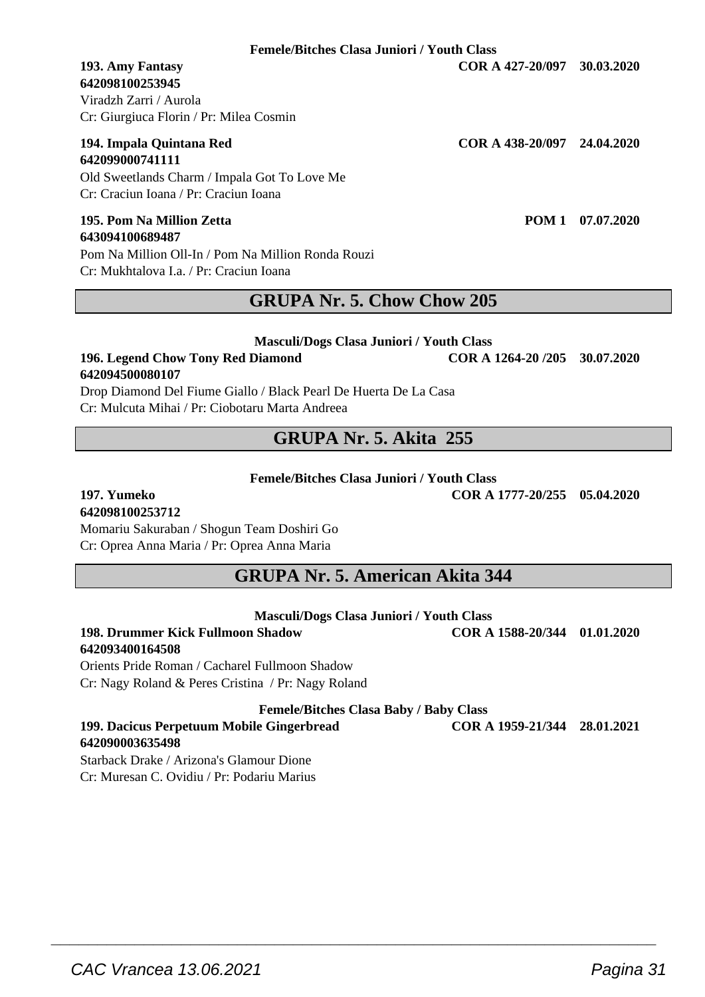**Femele/Bitches Clasa Juniori / Youth Class**

## **642098100253945**

Viradzh Zarri / Aurola Cr: Giurgiuca Florin / Pr: Milea Cosmin

#### **194. Impala Quintana Red COR A 438-20/097 24.04.2020 642099000741111**

Old Sweetlands Charm / Impala Got To Love Me Cr: Craciun Ioana / Pr: Craciun Ioana

#### **195. Pom Na Million Zetta POM 1 07.07.2020 643094100689487**

Pom Na Million Oll-In / Pom Na Million Ronda Rouzi Cr: Mukhtalova I.a. / Pr: Craciun Ioana

### **GRUPA Nr. 5. Chow Chow 205**

#### **Masculi/Dogs Clasa Juniori / Youth Class**

#### **196. Legend Chow Tony Red Diamond COR A 1264-20 /205 30.07.2020 642094500080107**

Drop Diamond Del Fiume Giallo / Black Pearl De Huerta De La Casa Cr: Mulcuta Mihai / Pr: Ciobotaru Marta Andreea

### **GRUPA Nr. 5. Akita 255**

#### **Femele/Bitches Clasa Juniori / Youth Class**

**197. Yumeko COR A 1777-20/255 05.04.2020**

### **642098100253712**

Momariu Sakuraban / Shogun Team Doshiri Go Cr: Oprea Anna Maria / Pr: Oprea Anna Maria

### **GRUPA Nr. 5. American Akita 344**

#### **Masculi/Dogs Clasa Juniori / Youth Class**

#### **198. Drummer Kick Fullmoon Shadow COR A 1588-20/344 01.01.2020 642093400164508**

Orients Pride Roman / Cacharel Fullmoon Shadow Cr: Nagy Roland & Peres Cristina / Pr: Nagy Roland

**Femele/Bitches Clasa Baby / Baby Class**

**199. Dacicus Perpetuum Mobile Gingerbread COR A 1959-21/344 28.01.2021 642090003635498**

 $\overline{\phantom{a}}$  , and the set of the set of the set of the set of the set of the set of the set of the set of the set of the set of the set of the set of the set of the set of the set of the set of the set of the set of the s

Starback Drake / Arizona's Glamour Dione Cr: Muresan C. Ovidiu / Pr: Podariu Marius

**193. Amy Fantasy COR A 427-20/097 30.03.2020**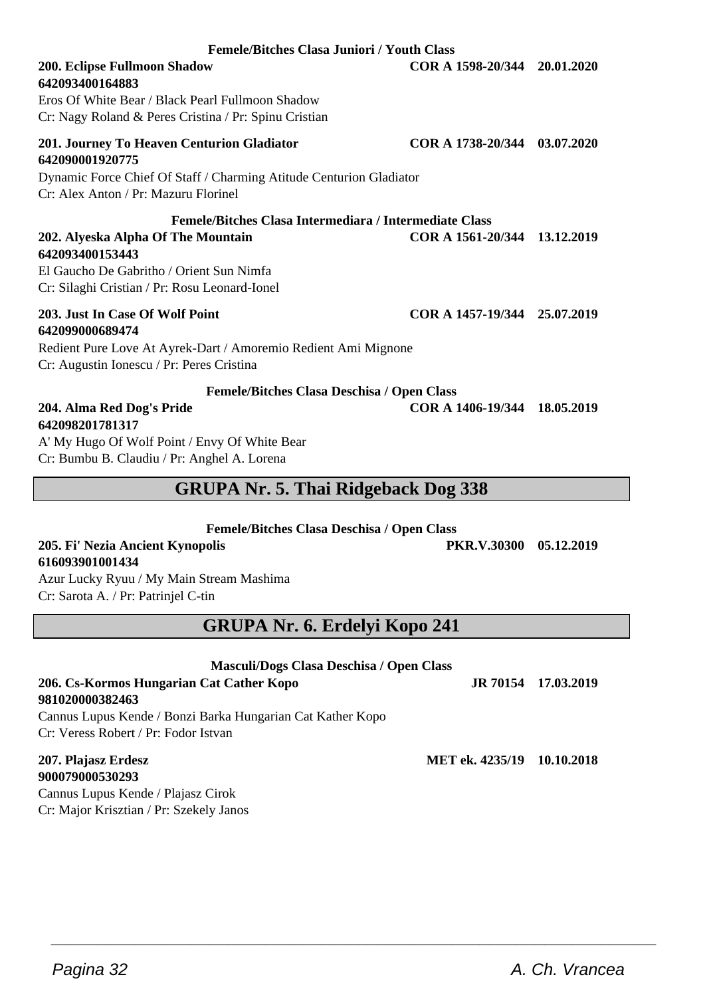| Eros Of White Bear / Black Pearl Fullmoon Shadow<br>Cr: Nagy Roland & Peres Cristina / Pr: Spinu Cristian                                                                                                    |                              |                     |
|--------------------------------------------------------------------------------------------------------------------------------------------------------------------------------------------------------------|------------------------------|---------------------|
| 201. Journey To Heaven Centurion Gladiator<br>642090001920775                                                                                                                                                | COR A 1738-20/344            | 03.07.2020          |
| Dynamic Force Chief Of Staff / Charming Atitude Centurion Gladiator<br>Cr: Alex Anton / Pr: Mazuru Florinel                                                                                                  |                              |                     |
| Femele/Bitches Clasa Intermediara / Intermediate Class<br>202. Alyeska Alpha Of The Mountain<br>642093400153443<br>El Gaucho De Gabritho / Orient Sun Nimfa<br>Cr: Silaghi Cristian / Pr: Rosu Leonard-Ionel | COR A 1561-20/344 13.12.2019 |                     |
| 203. Just In Case Of Wolf Point<br>642099000689474                                                                                                                                                           | COR A 1457-19/344 25.07.2019 |                     |
| Redient Pure Love At Ayrek-Dart / Amoremio Redient Ami Mignone<br>Cr: Augustin Ionescu / Pr: Peres Cristina                                                                                                  |                              |                     |
| Femele/Bitches Clasa Deschisa / Open Class                                                                                                                                                                   |                              |                     |
| 204. Alma Red Dog's Pride<br>642098201781317                                                                                                                                                                 | COR A 1406-19/344            | 18.05.2019          |
| A' My Hugo Of Wolf Point / Envy Of White Bear                                                                                                                                                                |                              |                     |
| Cr: Bumbu B. Claudiu / Pr: Anghel A. Lorena                                                                                                                                                                  |                              |                     |
| <b>GRUPA Nr. 5. Thai Ridgeback Dog 338</b>                                                                                                                                                                   |                              |                     |
|                                                                                                                                                                                                              |                              |                     |
| Femele/Bitches Clasa Deschisa / Open Class<br>205. Fi' Nezia Ancient Kynopolis                                                                                                                               | PKR.V.30300 05.12.2019       |                     |
| 616093901001434                                                                                                                                                                                              |                              |                     |
| Azur Lucky Ryuu / My Main Stream Mashima<br>Cr: Sarota A. / Pr: Patrinjel C-tin                                                                                                                              |                              |                     |
| <b>GRUPA Nr. 6. Erdelyi Kopo 241</b>                                                                                                                                                                         |                              |                     |
| Masculi/Dogs Clasa Deschisa / Open Class                                                                                                                                                                     |                              |                     |
| 206. Cs-Kormos Hungarian Cat Cather Kopo<br>981020000382463                                                                                                                                                  |                              | JR 70154 17.03.2019 |
| Cannus Lupus Kende / Bonzi Barka Hungarian Cat Kather Kopo<br>Cr: Veress Robert / Pr: Fodor Istvan                                                                                                           |                              |                     |
| 207. Plajasz Erdesz<br>900079000530293                                                                                                                                                                       | MET ek. 4235/19 10.10.2018   |                     |
| Cannus Lupus Kende / Plajasz Cirok                                                                                                                                                                           |                              |                     |

 $\overline{\phantom{a}}$  , and the set of the set of the set of the set of the set of the set of the set of the set of the set of the set of the set of the set of the set of the set of the set of the set of the set of the set of the s

**Femele/Bitches Clasa Juniori / Youth Class 200. Eclipse Fullmoon Shadow COR A 1598-20/344 20.01.2020**

**642093400164883**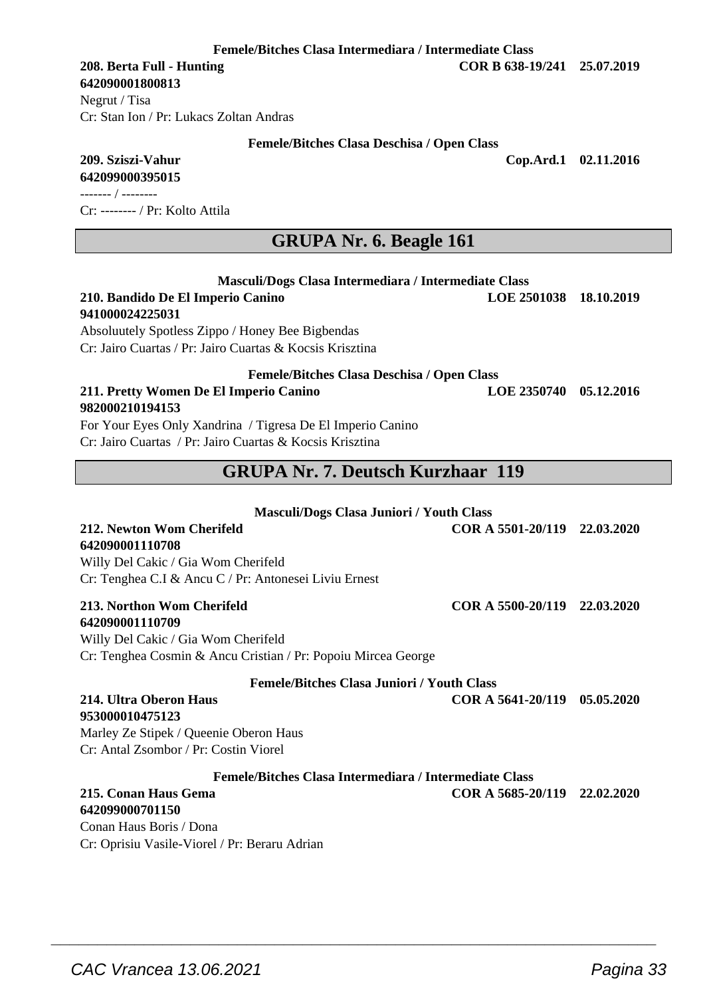Conan Haus Boris / Dona

**Femele/Bitches Clasa Intermediara / Intermediate Class**

**642090001800813**

Negrut / Tisa Cr: Stan Ion / Pr: Lukacs Zoltan Andras

#### **Femele/Bitches Clasa Deschisa / Open Class**

**209. Sziszi-Vahur Cop.Ard.1 02.11.2016**

**642099000395015** ------- / --------

Cr: -------- / Pr: Kolto Attila

### **GRUPA Nr. 6. Beagle 161**

| Masculi/Dogs Clasa Intermediara / Intermediate Class          |                              |            |
|---------------------------------------------------------------|------------------------------|------------|
| 210. Bandido De El Imperio Canino                             | <b>LOE 2501038</b>           | 18.10.2019 |
| 941000024225031                                               |                              |            |
| Absoluutely Spotless Zippo / Honey Bee Bigbendas              |                              |            |
| Cr: Jairo Cuartas / Pr: Jairo Cuartas & Kocsis Krisztina      |                              |            |
| <b>Femele/Bitches Clasa Deschisa / Open Class</b>             |                              |            |
| 211. Pretty Women De El Imperio Canino                        | <b>LOE 2350740</b>           | 05.12.2016 |
| 982000210194153                                               |                              |            |
| For Your Eyes Only Xandrina / Tigresa De El Imperio Canino    |                              |            |
| Cr: Jairo Cuartas / Pr: Jairo Cuartas & Kocsis Krisztina      |                              |            |
|                                                               |                              |            |
| <b>GRUPA Nr. 7. Deutsch Kurzhaar 119</b>                      |                              |            |
|                                                               |                              |            |
| Masculi/Dogs Clasa Juniori / Youth Class                      |                              |            |
| 212. Newton Wom Cherifeld                                     | COR A 5501-20/119            | 22.03.2020 |
| 642090001110708                                               |                              |            |
| Willy Del Cakic / Gia Wom Cherifeld                           |                              |            |
| Cr: Tenghea C.I & Ancu C / Pr: Antonesei Liviu Ernest         |                              |            |
| 213. Northon Wom Cherifeld                                    | COR A 5500-20/119            | 22.03.2020 |
| 642090001110709                                               |                              |            |
| Willy Del Cakic / Gia Wom Cherifeld                           |                              |            |
| Cr: Tenghea Cosmin & Ancu Cristian / Pr: Popoiu Mircea George |                              |            |
| <b>Femele/Bitches Clasa Juniori / Youth Class</b>             |                              |            |
| 214. Ultra Oberon Haus                                        | COR A 5641-20/119 05.05.2020 |            |
| 953000010475123                                               |                              |            |
| Marley Ze Stipek / Queenie Oberon Haus                        |                              |            |
| Cr: Antal Zsombor / Pr: Costin Viorel                         |                              |            |
| Femele/Bitches Clasa Intermediara / Intermediate Class        |                              |            |
| 215. Conan Haus Gema                                          | COR A 5685-20/119            | 22.02.2020 |
| 642099000701150                                               |                              |            |

 $\overline{\phantom{a}}$  , and the set of the set of the set of the set of the set of the set of the set of the set of the set of the set of the set of the set of the set of the set of the set of the set of the set of the set of the s

Cr: Oprisiu Vasile-Viorel / Pr: Beraru Adrian

**208. Berta Full - Hunting COR B 638-19/241 25.07.2019**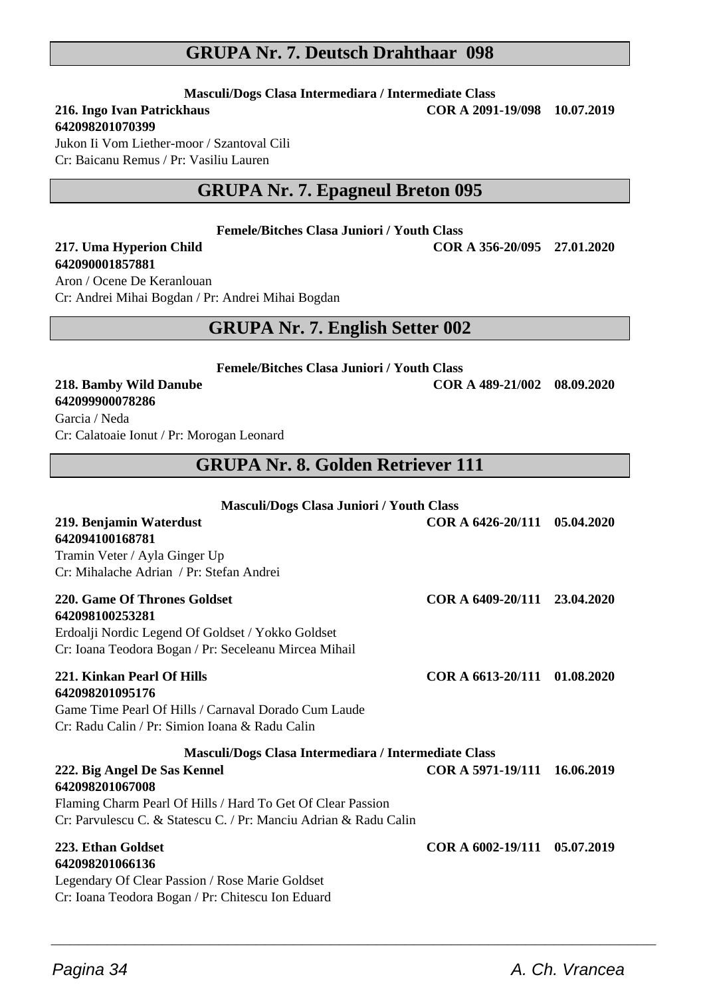### **GRUPA Nr. 7. Deutsch Drahthaar 098**

**Masculi/Dogs Clasa Intermediara / Intermediate Class**<br>**216. Ingo Ivan Patrickhaus COR A 2091** 

## **642098201070399**

**216. Ingo Ivan Patrickhaus COR A 2091-19/098 10.07.2019**

Jukon Ii Vom Liether-moor / Szantoval Cili Cr: Baicanu Remus / Pr: Vasiliu Lauren

### **GRUPA Nr. 7. Epagneul Breton 095**

**Femele/Bitches Clasa Juniori / Youth Class**

## **642090001857881**

**217. Uma Hyperion Child COR A 356-20/095 27.01.2020**

Aron / Ocene De Keranlouan Cr: Andrei Mihai Bogdan / Pr: Andrei Mihai Bogdan

### **GRUPA Nr. 7. English Setter 002**

**Femele/Bitches Clasa Juniori / Youth Class**

**642099900078286**

**218. Bamby Wild Danube COR A 489-21/002 08.09.2020**

Garcia / Neda Cr: Calatoaie Ionut / Pr: Morogan Leonard

### **GRUPA Nr. 8. Golden Retriever 111**

| <b>Masculi/Dogs Clasa Juniori / Youth Class</b>                                                                                                                                    |                              |            |
|------------------------------------------------------------------------------------------------------------------------------------------------------------------------------------|------------------------------|------------|
| 219. Benjamin Waterdust<br>642094100168781<br>Tramin Veter / Ayla Ginger Up<br>Cr: Mihalache Adrian / Pr: Stefan Andrei                                                            | COR A 6426-20/111 05.04.2020 |            |
| 220. Game Of Thrones Goldset<br>642098100253281<br>Erdoalji Nordic Legend Of Goldset / Yokko Goldset<br>Cr: Ioana Teodora Bogan / Pr: Seceleanu Mircea Mihail                      | COR A 6409-20/111 23.04.2020 |            |
| 221. Kinkan Pearl Of Hills<br>642098201095176<br>Game Time Pearl Of Hills / Carnaval Dorado Cum Laude<br>Cr: Radu Calin / Pr: Simion Ioana & Radu Calin                            | COR A 6613-20/111            | 01.08.2020 |
| Masculi/Dogs Clasa Intermediara / Intermediate Class                                                                                                                               |                              |            |
| 222. Big Angel De Sas Kennel<br>642098201067008<br>Flaming Charm Pearl Of Hills / Hard To Get Of Clear Passion<br>Cr: Parvulescu C. & Statescu C. / Pr: Manciu Adrian & Radu Calin | COR A 5971-19/111 16.06.2019 |            |
| 223. Ethan Goldset<br>642098201066136<br>Legendary Of Clear Passion / Rose Marie Goldset<br>Cr: Ioana Teodora Bogan / Pr: Chitescu Ion Eduard                                      | COR A 6002-19/111            | 05.07.2019 |

 $\overline{\phantom{a}}$  , and the set of the set of the set of the set of the set of the set of the set of the set of the set of the set of the set of the set of the set of the set of the set of the set of the set of the set of the s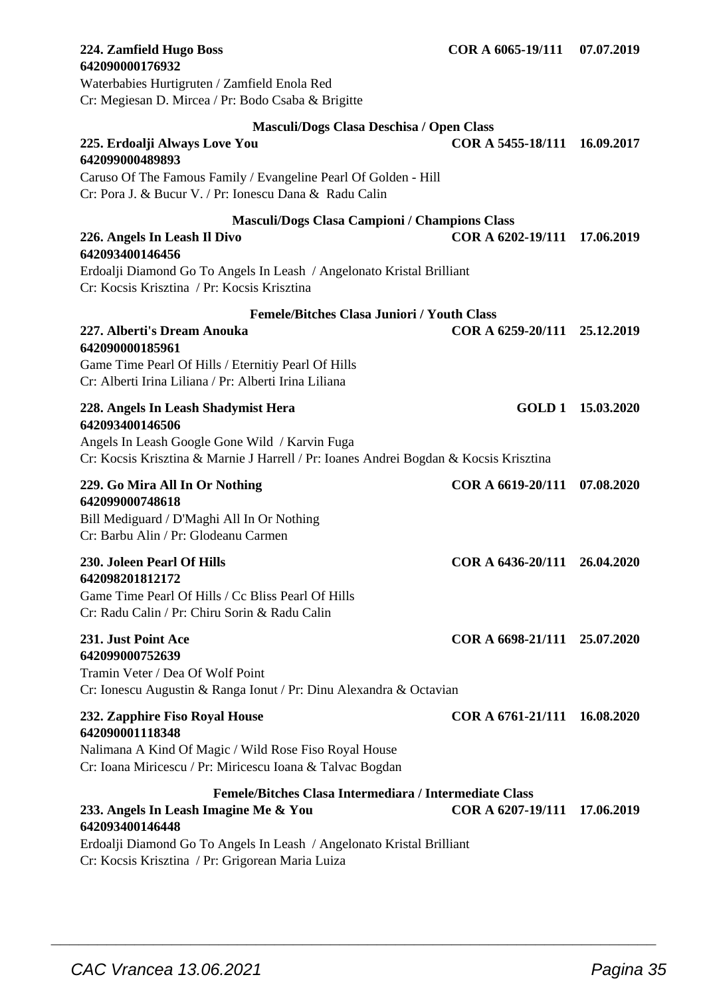| <b>642090000176932</b>                                                                                                                                                                            |                              |                   |
|---------------------------------------------------------------------------------------------------------------------------------------------------------------------------------------------------|------------------------------|-------------------|
| Waterbabies Hurtigruten / Zamfield Enola Red<br>Cr: Megiesan D. Mircea / Pr: Bodo Csaba & Brigitte                                                                                                |                              |                   |
| Masculi/Dogs Clasa Deschisa / Open Class                                                                                                                                                          |                              |                   |
| 225. Erdoalji Always Love You<br>642099000489893                                                                                                                                                  | COR A 5455-18/111            | 16.09.2017        |
| Caruso Of The Famous Family / Evangeline Pearl Of Golden - Hill<br>Cr: Pora J. & Bucur V. / Pr: Ionescu Dana & Radu Calin                                                                         |                              |                   |
| <b>Masculi/Dogs Clasa Campioni / Champions Class</b><br>226. Angels In Leash Il Divo<br>642093400146456                                                                                           | COR A 6202-19/111 17.06.2019 |                   |
| Erdoalji Diamond Go To Angels In Leash / Angelonato Kristal Brilliant<br>Cr: Kocsis Krisztina / Pr: Kocsis Krisztina                                                                              |                              |                   |
| <b>Femele/Bitches Clasa Juniori / Youth Class</b>                                                                                                                                                 |                              |                   |
| 227. Alberti's Dream Anouka<br>642090000185961<br>Game Time Pearl Of Hills / Eternitiy Pearl Of Hills<br>Cr: Alberti Irina Liliana / Pr: Alberti Irina Liliana                                    | COR A 6259-20/111            | 25.12.2019        |
| 228. Angels In Leash Shadymist Hera<br>642093400146506<br>Angels In Leash Google Gone Wild / Karvin Fuga<br>Cr: Kocsis Krisztina & Marnie J Harrell / Pr: Ioanes Andrei Bogdan & Kocsis Krisztina |                              | GOLD 1 15.03.2020 |
| 229. Go Mira All In Or Nothing<br>642099000748618<br>Bill Mediguard / D'Maghi All In Or Nothing<br>Cr: Barbu Alin / Pr: Glodeanu Carmen                                                           | COR A 6619-20/111            | 07.08.2020        |
| 230. Joleen Pearl Of Hills<br>642098201812172<br>Game Time Pearl Of Hills / Cc Bliss Pearl Of Hills<br>Cr: Radu Calin / Pr: Chiru Sorin & Radu Calin                                              | COR A 6436-20/111            | 26.04.2020        |
| 231. Just Point Ace<br>642099000752639<br>Tramin Veter / Dea Of Wolf Point<br>Cr: Ionescu Augustin & Ranga Ionut / Pr: Dinu Alexandra & Octavian                                                  | COR A 6698-21/111 25.07.2020 |                   |
| 232. Zapphire Fiso Royal House<br>642090001118348<br>Nalimana A Kind Of Magic / Wild Rose Fiso Royal House<br>Cr: Ioana Miricescu / Pr: Miricescu Ioana & Talvac Bogdan                           | COR A 6761-21/111            | 16.08.2020        |
| Femele/Bitches Clasa Intermediara / Intermediate Class<br>233. Angels In Leash Imagine Me & You<br>642093400146448<br>Erdoalji Diamond Go To Angels In Leash / Angelonato Kristal Brilliant       | COR A 6207-19/111 17.06.2019 |                   |

 $\overline{\phantom{a}}$  , and the set of the set of the set of the set of the set of the set of the set of the set of the set of the set of the set of the set of the set of the set of the set of the set of the set of the set of the s

**224. Zamfield Hugo Boss COR A 6065-19/111 07.07.2019**

Cr: Kocsis Krisztina / Pr: Grigorean Maria Luiza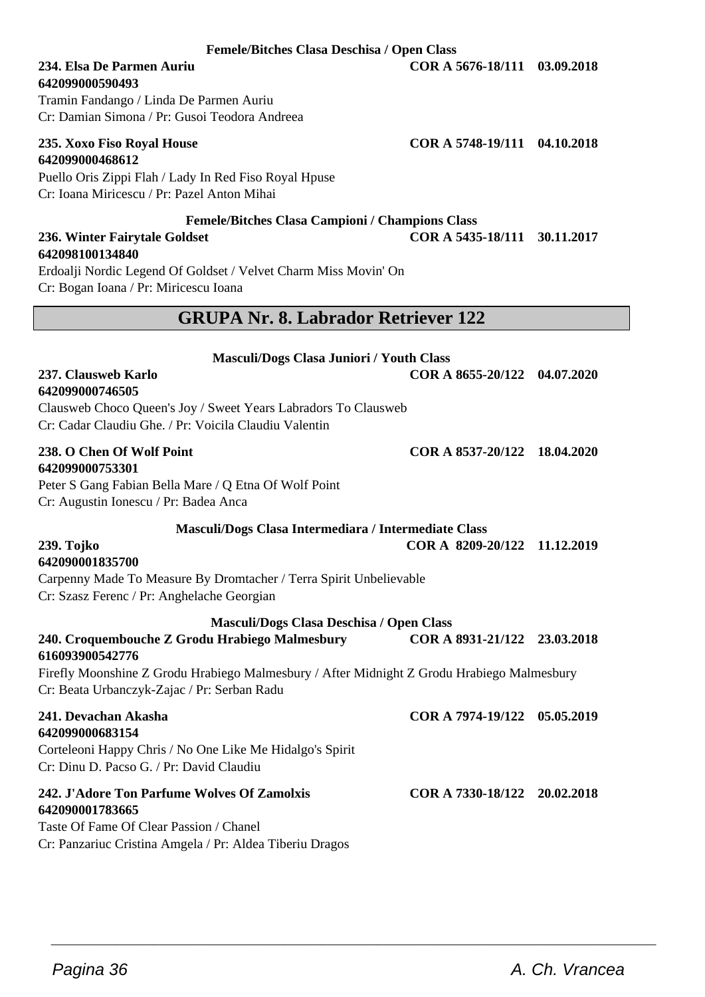#### **Femele/Bitches Clasa Deschisa / Open Class**

## **642099000590493**

Tramin Fandango / Linda De Parmen Auriu Cr: Damian Simona / Pr: Gusoi Teodora Andreea

#### **235. Xoxo Fiso Royal House COR A 5748-19/111 04.10.2018 642099000468612**

Puello Oris Zippi Flah / Lady In Red Fiso Royal Hpuse Cr: Ioana Miricescu / Pr: Pazel Anton Mihai

**Femele/Bitches Clasa Campioni / Champions Class**

#### **236. Winter Fairytale Goldset COR A 5435-18/111 30.11.2017 642098100134840**

Erdoalji Nordic Legend Of Goldset / Velvet Charm Miss Movin' On Cr: Bogan Ioana / Pr: Miricescu Ioana

### **GRUPA Nr. 8. Labrador Retriever 122**

| Masculi/Dogs Clasa Juniori / Youth Class                                                                                                  |                              |  |
|-------------------------------------------------------------------------------------------------------------------------------------------|------------------------------|--|
| 237. Clausweb Karlo<br>642099000746505                                                                                                    | COR A 8655-20/122 04.07.2020 |  |
| Clausweb Choco Queen's Joy / Sweet Years Labradors To Clausweb                                                                            |                              |  |
| Cr: Cadar Claudiu Ghe. / Pr: Voicila Claudiu Valentin                                                                                     |                              |  |
| 238. O Chen Of Wolf Point                                                                                                                 | COR A 8537-20/122 18.04.2020 |  |
| 642099000753301                                                                                                                           |                              |  |
| Peter S Gang Fabian Bella Mare / Q Etna Of Wolf Point                                                                                     |                              |  |
| Cr: Augustin Ionescu / Pr: Badea Anca                                                                                                     |                              |  |
| Masculi/Dogs Clasa Intermediara / Intermediate Class                                                                                      |                              |  |
| 239. Tojko                                                                                                                                | COR A 8209-20/122 11.12.2019 |  |
| 642090001835700                                                                                                                           |                              |  |
| Carpenny Made To Measure By Dromtacher / Terra Spirit Unbelievable                                                                        |                              |  |
| Cr: Szasz Ferenc / Pr: Anghelache Georgian                                                                                                |                              |  |
| Masculi/Dogs Clasa Deschisa / Open Class                                                                                                  |                              |  |
| 240. Croquembouche Z Grodu Hrabiego Malmesbury<br>616093900542776                                                                         | COR A 8931-21/122 23.03.2018 |  |
| Firefly Moonshine Z Grodu Hrabiego Malmesbury / After Midnight Z Grodu Hrabiego Malmesbury<br>Cr: Beata Urbanczyk-Zajac / Pr: Serban Radu |                              |  |
| 241. Devachan Akasha<br>642099000683154                                                                                                   | COR A 7974-19/122 05.05.2019 |  |
| Corteleoni Happy Chris / No One Like Me Hidalgo's Spirit<br>Cr: Dinu D. Pacso G. / Pr: David Claudiu                                      |                              |  |
| 242. J'Adore Ton Parfume Wolves Of Zamolxis<br>642090001783665                                                                            | COR A 7330-18/122 20.02.2018 |  |
| Taste Of Fame Of Clear Passion / Chanel                                                                                                   |                              |  |
|                                                                                                                                           |                              |  |

 $\overline{\phantom{a}}$  , and the set of the set of the set of the set of the set of the set of the set of the set of the set of the set of the set of the set of the set of the set of the set of the set of the set of the set of the s

**234. Elsa De Parmen Auriu COR A 5676-18/111 03.09.2018**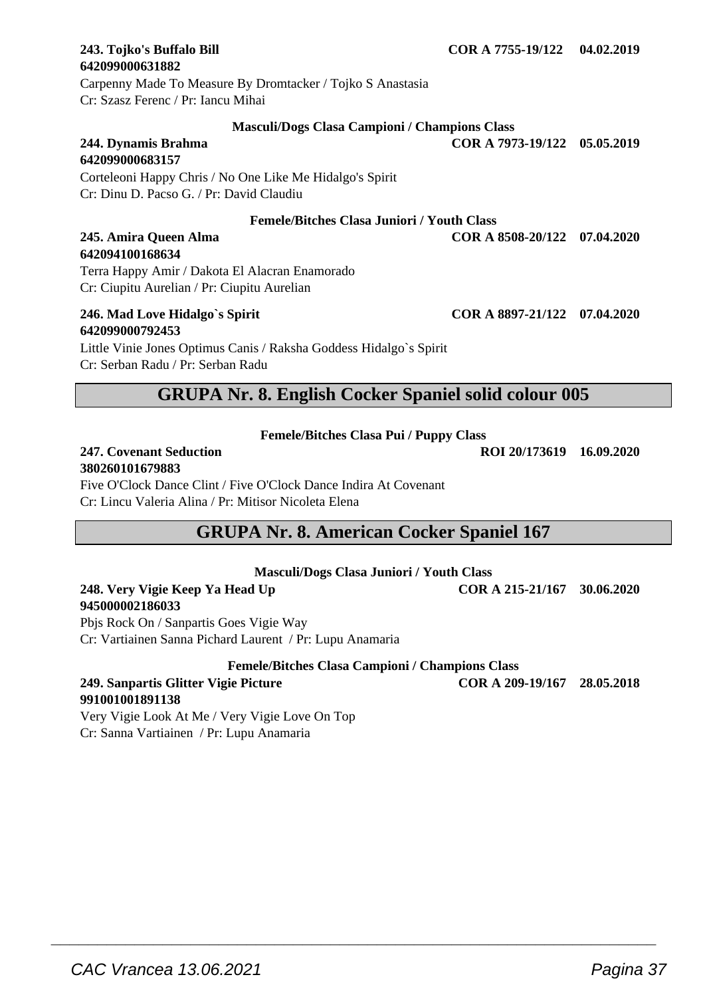# **642099000631882**

Carpenny Made To Measure By Dromtacker / Tojko S Anastasia Cr: Szasz Ferenc / Pr: Iancu Mihai

#### **Masculi/Dogs Clasa Campioni / Champions Class**

**244. Dynamis Brahma COR A 7973-19/122 05.05.2019 642099000683157**

Corteleoni Happy Chris / No One Like Me Hidalgo's Spirit Cr: Dinu D. Pacso G. / Pr: David Claudiu

#### **Femele/Bitches Clasa Juniori / Youth Class**

**245. Amira Queen Alma COR A 8508-20/122 07.04.2020**

Terra Happy Amir / Dakota El Alacran Enamorado Cr: Ciupitu Aurelian / Pr: Ciupitu Aurelian

## **642099000792453**

**642094100168634**

Little Vinie Jones Optimus Canis / Raksha Goddess Hidalgo`s Spirit Cr: Serban Radu / Pr: Serban Radu

### **GRUPA Nr. 8. English Cocker Spaniel solid colour 005**

**Femele/Bitches Clasa Pui / Puppy Class**

#### **247. Covenant Seduction ROI 20/173619 16.09.2020 380260101679883**

Five O'Clock Dance Clint / Five O'Clock Dance Indira At Covenant Cr: Lincu Valeria Alina / Pr: Mitisor Nicoleta Elena

### **GRUPA Nr. 8. American Cocker Spaniel 167**

**Masculi/Dogs Clasa Juniori / Youth Class**

#### **248. Very Vigie Keep Ya Head Up COR A 215-21/167 30.06.2020 945000002186033**

Pbjs Rock On / Sanpartis Goes Vigie Way Cr: Vartiainen Sanna Pichard Laurent / Pr: Lupu Anamaria

**Femele/Bitches Clasa Campioni / Champions Class**

#### **249. Sanpartis Glitter Vigie Picture COR A 209-19/167 28.05.2018 991001001891138**

Very Vigie Look At Me / Very Vigie Love On Top Cr: Sanna Vartiainen / Pr: Lupu Anamaria

 $\overline{\phantom{a}}$  , and the set of the set of the set of the set of the set of the set of the set of the set of the set of the set of the set of the set of the set of the set of the set of the set of the set of the set of the s

**246. Mad Love Hidalgo`s Spirit COR A 8897-21/122 07.04.2020**

**243. Tojko's Buffalo Bill COR A 7755-19/122 04.02.2019**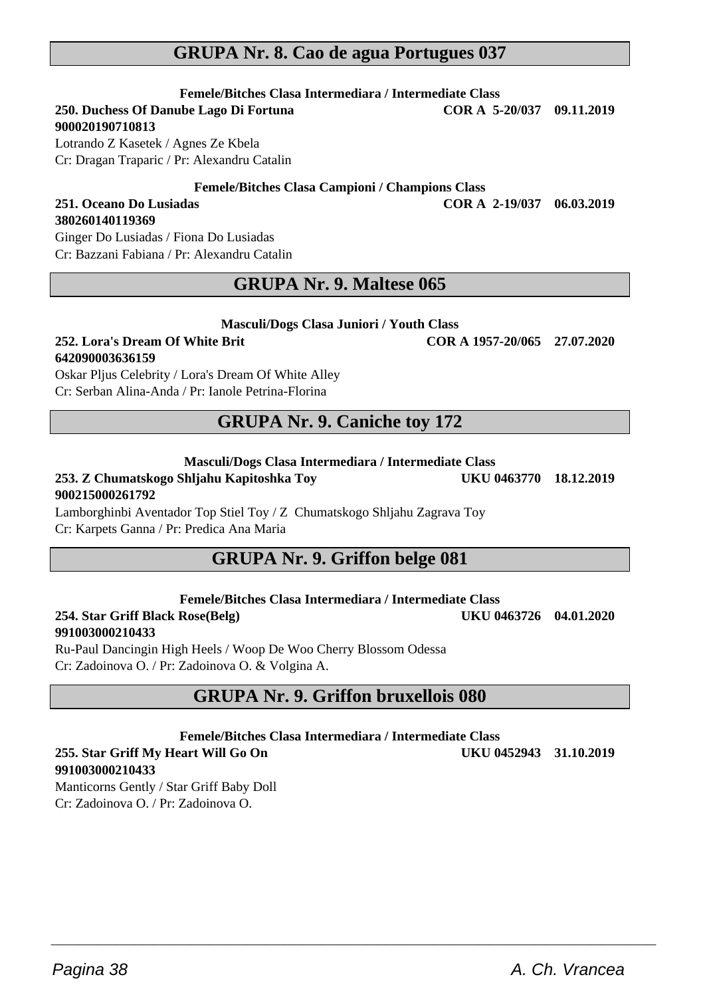### **GRUPA Nr. 8. Cao de agua Portugues 037**

**Femele/Bitches Clasa Intermediara / Intermediate Class 250. Duchess Of Danube Lago Di Fortuna** 

**900020190710813**

**380260140119369**

Lotrando Z Kasetek / Agnes Ze Kbela Cr: Dragan Traparic / Pr: Alexandru Catalin

**Femele/Bitches Clasa Campioni / Champions Class**

### **251. Oceano Do Lusiadas COR A 2-19/037 06.03.2019**

Ginger Do Lusiadas / Fiona Do Lusiadas Cr: Bazzani Fabiana / Pr: Alexandru Catalin

### **GRUPA Nr. 9. Maltese 065**

#### **252. Lora's Dream Of White Brit COR A 1957-20/065 27.07.2020 642090003636159**

Oskar Pljus Celebrity / Lora's Dream Of White Alley Cr: Serban Alina-Anda / Pr: Ianole Petrina-Florina

### **GRUPA Nr. 9. Caniche toy 172**

#### **Masculi/Dogs Clasa Intermediara / Intermediate Class**

### **253. Z Chumatskogo Shljahu Kapitoshka Toy UKU 0463770 18.12.2019 900215000261792**

Lamborghinbi Aventador Top Stiel Toy / Z Chumatskogo Shljahu Zagrava Toy Cr: Karpets Ganna / Pr: Predica Ana Maria

### **GRUPA Nr. 9. Griffon belge 081**

**Femele/Bitches Clasa Intermediara / Intermediate Class**

**254. Star Griff Black Rose(Belg) UKU 0463726 04.01.2020 991003000210433**

Ru-Paul Dancingin High Heels / Woop De Woo Cherry Blossom Odessa Cr: Zadoinova O. / Pr: Zadoinova O. & Volgina A.

### **GRUPA Nr. 9. Griffon bruxellois 080**

**Femele/Bitches Clasa Intermediara / Intermediate Class**

 $\overline{\phantom{a}}$  , and the set of the set of the set of the set of the set of the set of the set of the set of the set of the set of the set of the set of the set of the set of the set of the set of the set of the set of the s

#### **255. Star Griff My Heart Will Go On UKU 0452943 31.10.2019 991003000210433**

Manticorns Gently / Star Griff Baby Doll Cr: Zadoinova O. / Pr: Zadoinova O.

**Masculi/Dogs Clasa Juniori / Youth Class**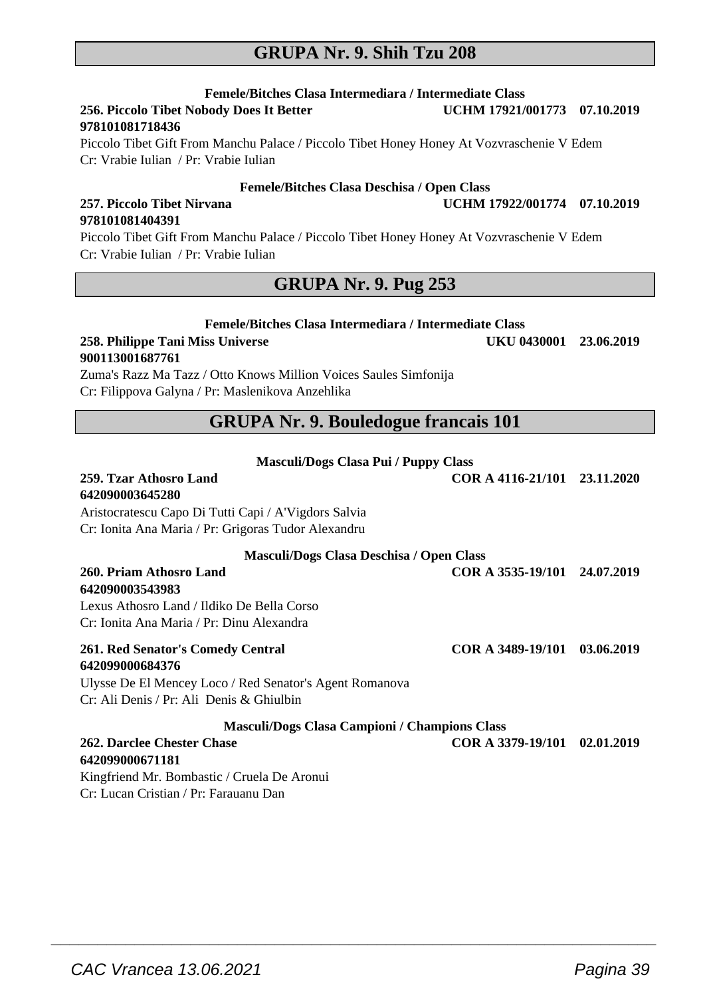### **GRUPA Nr. 9. Shih Tzu 208**

**Femele/Bitches Clasa Intermediara / Intermediate Class 256. Piccolo Tibet Nobody Does It Better 978101081718436**

Piccolo Tibet Gift From Manchu Palace / Piccolo Tibet Honey Honey At Vozvraschenie V Edem Cr: Vrabie Iulian / Pr: Vrabie Iulian

#### **Femele/Bitches Clasa Deschisa / Open Class**

#### **257. Piccolo Tibet Nirvana UCHM 17922/001774 07.10.2019 978101081404391**

Piccolo Tibet Gift From Manchu Palace / Piccolo Tibet Honey Honey At Vozvraschenie V Edem Cr: Vrabie Iulian / Pr: Vrabie Iulian

### **GRUPA Nr. 9. Pug 253**

#### **Femele/Bitches Clasa Intermediara / Intermediate Class**

#### **258. Philippe Tani Miss Universe UKU 0430001 23.06.2019 900113001687761**

Zuma's Razz Ma Tazz / Otto Knows Million Voices Saules Simfonija Cr: Filippova Galyna / Pr: Maslenikova Anzehlika

### **GRUPA Nr. 9. Bouledogue francais 101**

| <b>Masculi/Dogs Clasa Pui / Puppy Class</b>             |                              |  |
|---------------------------------------------------------|------------------------------|--|
| 259. Tzar Athosro Land                                  | COR A 4116-21/101 23.11.2020 |  |
| 642090003645280                                         |                              |  |
| Aristocratescu Capo Di Tutti Capi / A'Vigdors Salvia    |                              |  |
| Cr: Ionita Ana Maria / Pr: Grigoras Tudor Alexandru     |                              |  |
| Masculi/Dogs Clasa Deschisa / Open Class                |                              |  |
| 260. Priam Athosro Land<br>642090003543983              | COR A 3535-19/101 24.07.2019 |  |
| Lexus Athosro Land / Ildiko De Bella Corso              |                              |  |
| Cr: Ionita Ana Maria / Pr: Dinu Alexandra               |                              |  |
| 261. Red Senator's Comedy Central<br>642099000684376    | COR A 3489-19/101 03.06.2019 |  |
| Ulysse De El Mencey Loco / Red Senator's Agent Romanova |                              |  |
| Cr: Ali Denis / Pr: Ali Denis & Ghiulbin                |                              |  |
| Masculi/Dogs Clasa Campioni / Champions Class           |                              |  |
| 262. Darclee Chester Chase                              | COR A 3379-19/101 02.01.2019 |  |
| 642099000671181                                         |                              |  |
| Kingfriend Mr. Bombastic / Cruela De Aronui             |                              |  |
| Cr: Lucan Cristian / Pr: Farauanu Dan                   |                              |  |

 $\overline{\phantom{a}}$  , and the set of the set of the set of the set of the set of the set of the set of the set of the set of the set of the set of the set of the set of the set of the set of the set of the set of the set of the s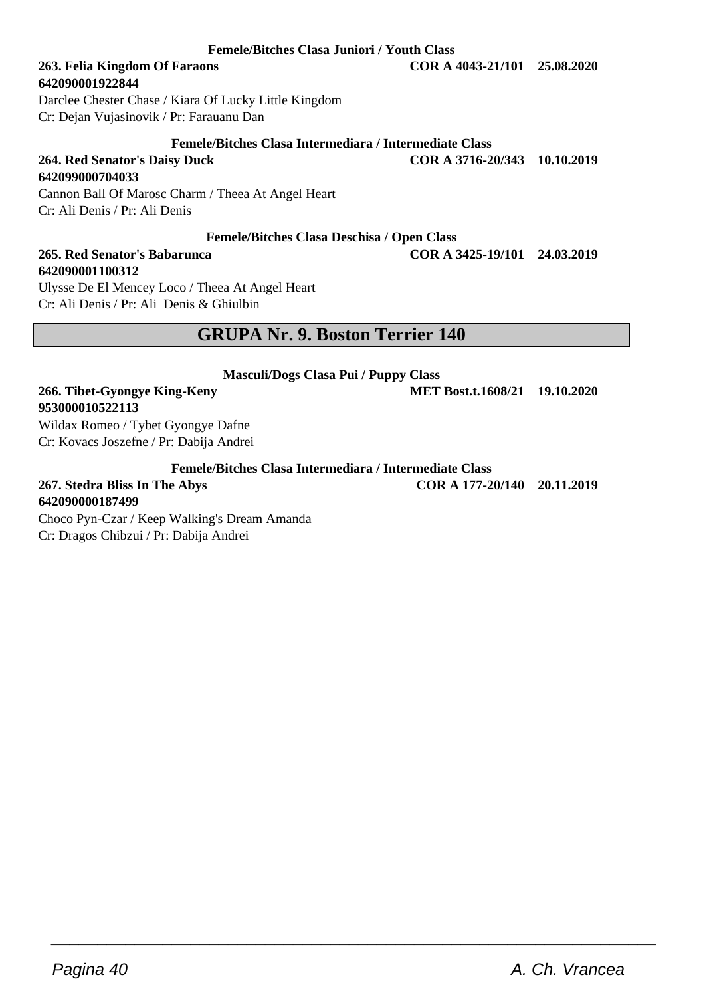**Femele/Bitches Clasa Juniori / Youth Class**

## **642090001922844**

Darclee Chester Chase / Kiara Of Lucky Little Kingdom Cr: Dejan Vujasinovik / Pr: Farauanu Dan

### **Femele/Bitches Clasa Intermediara / Intermediate Class**

**264. Red Senator's Daisy Duck COR A 3716-20/343 10.10.2019**

#### **642099000704033**

**953000010522113**

Cannon Ball Of Marosc Charm / Theea At Angel Heart Cr: Ali Denis / Pr: Ali Denis

#### **Femele/Bitches Clasa Deschisa / Open Class**

#### **265. Red Senator's Babarunca COR A 3425-19/101 24.03.2019 642090001100312**

Ulysse De El Mencey Loco / Theea At Angel Heart Cr: Ali Denis / Pr: Ali Denis & Ghiulbin

### **GRUPA Nr. 9. Boston Terrier 140**

**Masculi/Dogs Clasa Pui / Puppy Class**

**266. Tibet-Gyongye King-Keny MET Bost.t.1608/21 19.10.2020**

Wildax Romeo / Tybet Gyongye Dafne Cr: Kovacs Joszefne / Pr: Dabija Andrei

**Femele/Bitches Clasa Intermediara / Intermediate Class**

 $\overline{\phantom{a}}$  , and the set of the set of the set of the set of the set of the set of the set of the set of the set of the set of the set of the set of the set of the set of the set of the set of the set of the set of the s

**267. Stedra Bliss In The Abys COR A 177-20/140 20.11.2019 642090000187499**

Choco Pyn-Czar / Keep Walking's Dream Amanda

Cr: Dragos Chibzui / Pr: Dabija Andrei

**263. Felia Kingdom Of Faraons COR A 4043-21/101 25.08.2020**